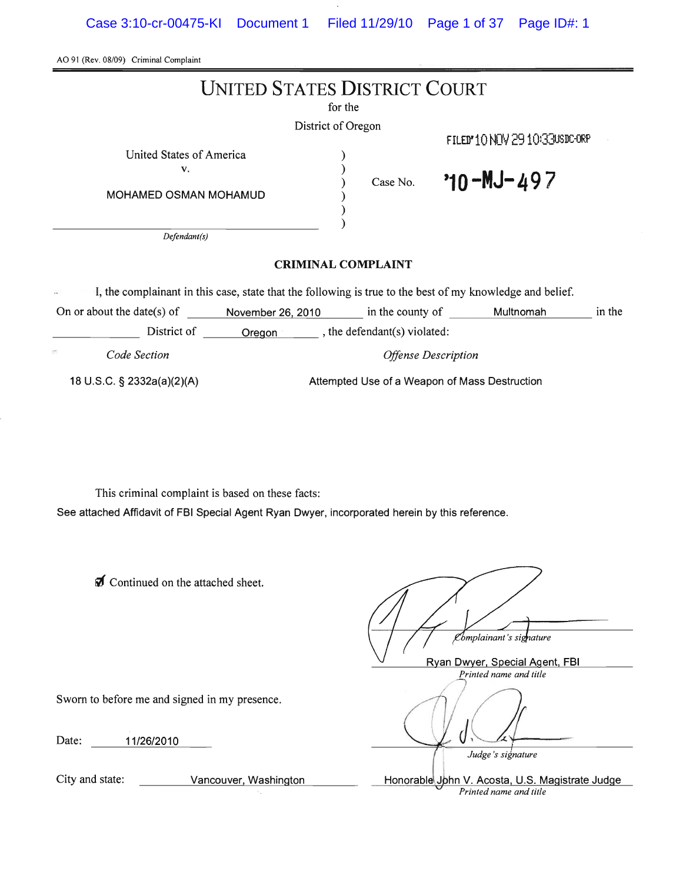Case 3:10-cr-00475-KI Document 1 Filed 11/29/10 Page 1 of 37 Page ID#: 1

| AO 91 (Rev. 08/09) Criminal Complaint                                                                                                              |                            |                                                                                     |
|----------------------------------------------------------------------------------------------------------------------------------------------------|----------------------------|-------------------------------------------------------------------------------------|
| <b>UNITED STATES DISTRICT COURT</b>                                                                                                                |                            |                                                                                     |
| for the                                                                                                                                            |                            |                                                                                     |
| District of Oregon                                                                                                                                 |                            |                                                                                     |
|                                                                                                                                                    |                            | FILED 10 NOV 2910 330SDC-0RP                                                        |
| United States of America<br>v.                                                                                                                     |                            |                                                                                     |
| MOHAMED OSMAN MOHAMUD                                                                                                                              | Case No.                   | $70 - M - 497$                                                                      |
| Defendant(s)                                                                                                                                       |                            |                                                                                     |
| <b>CRIMINAL COMPLAINT</b>                                                                                                                          |                            |                                                                                     |
| I, the complainant in this case, state that the following is true to the best of my knowledge and belief.                                          |                            |                                                                                     |
| November 26, 2010<br>On or about the date(s) of                                                                                                    |                            | in the county of Multnomah<br>in the                                                |
| District of <u>Oregon</u> , the defendant(s) violated:                                                                                             |                            |                                                                                     |
| Code Section                                                                                                                                       | <b>Offense Description</b> |                                                                                     |
| 18 U.S.C. § 2332a(a)(2)(A)<br>Attempted Use of a Weapon of Mass Destruction                                                                        |                            |                                                                                     |
| This criminal complaint is based on these facts:<br>See attached Affidavit of FBI Special Agent Ryan Dwyer, incorporated herein by this reference. |                            |                                                                                     |
| Continued on the attached sheet.                                                                                                                   |                            | "omplainant's signature<br>Ryan Dwyer, Special Agent, FBI<br>Printed name and title |
| Sworn to before me and signed in my presence.                                                                                                      |                            |                                                                                     |
| 11/26/2010<br>Date:                                                                                                                                |                            | Judge's signature                                                                   |
| City and state:<br>Vancouver, Washington                                                                                                           |                            | Honorable John V. Acosta, U.S. Magistrate Judge<br>Printed name and title           |
|                                                                                                                                                    |                            |                                                                                     |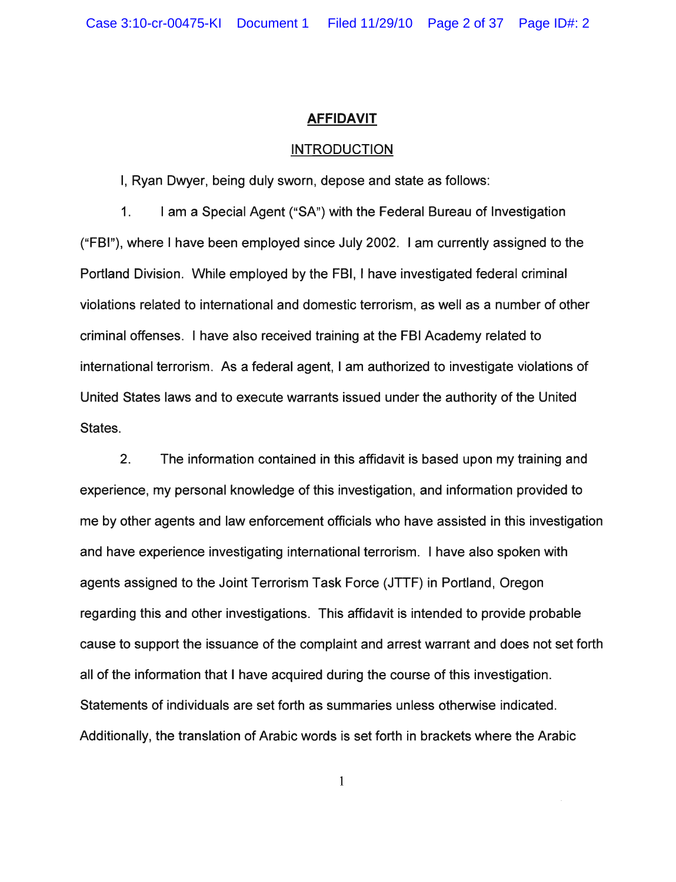### **AFFIDAVIT**

#### INTRODUCTION

I, Ryan Dwyer, being duly sworn, depose and state as follows:

1. I am a Special Agent ("SA") with the Federal Bureau of Investigation ("FBI"), where I have been employed since July 2002. I am currently assigned to the Portland Division. While employed by the FBI, I have investigated federal criminal violations related to international and domestic terrorism, as well as a number of other criminal offenses. I have also received training at the FBI Academy related to international terrorism. As a federal agent, I am authorized to investigate violations of United States laws and to execute warrants issued under the authority of the United States.

2. The information contained in this affidavit is based upon my training and experience, my personal knowledge of this investigation, and information provided to me by other agents and law enforcement officials who have assisted in this investigation and have experience investigating international terrorism. I have also spoken with agents assigned to the Joint Terrorism Task Force (JTTF) in Portland, Oregon regarding this and other investigations. This affidavit is intended to provide probable cause to support the issuance of the complaint and arrest warrant and does not set forth all of the information that I have acquired during the course of this investigation. Statements of individuals are set forth as summaries unless otherwise indicated. Additionally, the translation of Arabic words is set forth in brackets where the Arabic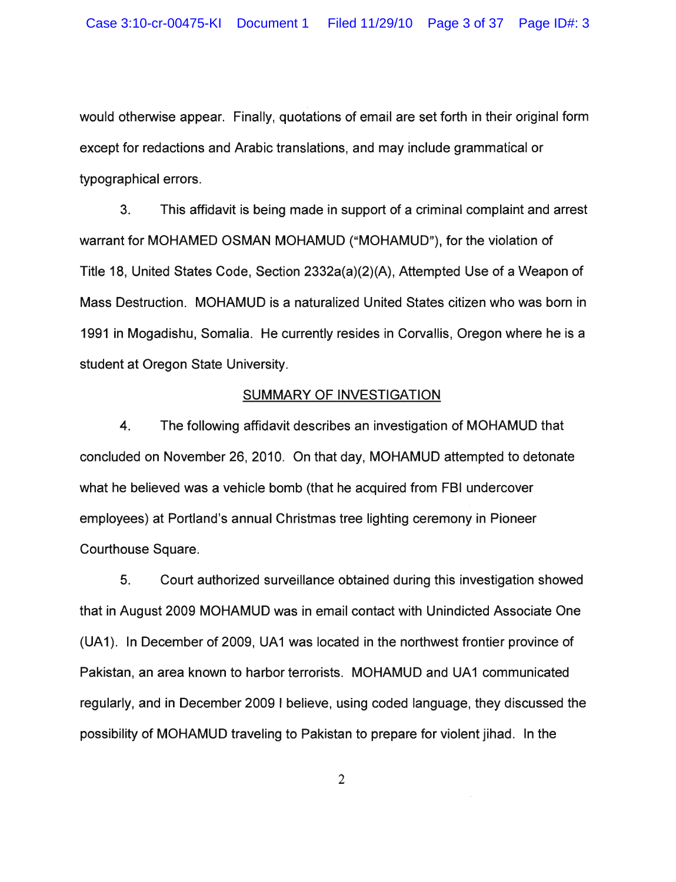would otherwise appear. Finally, quotations of email are set forth in their original form except for redactions and Arabic translations, and may include grammatical or typographical errors.

3. This affidavit is being made in support of a criminal complaint and arrest warrant for MOHAMED OSMAN MOHAMUD ("MOHAMUD"), for the violation of Title 18, United States Code, Section 2332a(a)(2)(A), Attempted Use of a Weapon of Mass Destruction. MOHAMUD is a naturalized United States citizen who was born in 1991 in Mogadishu, Somalia. He currently resides in Corvallis, Oregon where he is a student at Oregon State University.

## SUMMARY OF INVESTIGATION

4. The following affidavit describes an investigation of MOHAMUD that concluded on November 26, 2010. On that day, MOHAMUD attempted to detonate what he believed was a vehicle bomb (that he acquired from FBI undercover employees) at Portland's annual Christmas tree lighting ceremony in Pioneer Courthouse Square.

5. Court authorized surveillance obtained during this investigation showed that in August 2009 MOHAMUD was in email contact with Unindicted Associate One (UA1). In December of 2009, UA1 was located in the northwest frontier province of Pakistan, an area known to harbor terrorists. MOHAMUD and UA1 communicated regularly, and in December 2009 I believe, using coded language, they discussed the possibility of MOHAMUD traveling to Pakistan to prepare for violent jihad. In the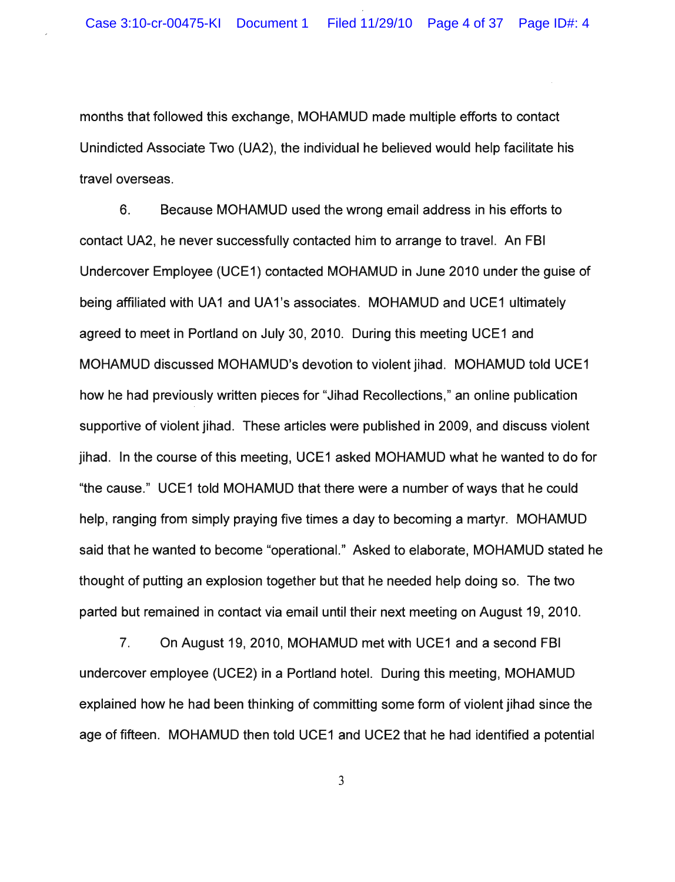months that followed this exchange, MOHAMUD made multiple efforts to contact Unindicted Associate Two (UA2), the individual he believed would help facilitate his travel overseas.

6. Because MOHAMUD used the wrong email address in his efforts to contact UA2, he never successfully contacted him to arrange to travel. An FBI Undercover Employee (UCE1) contacted MOHAMUD in June 2010 under the guise of being affiliated with UA1 and UA1's associates. MOHAMUD and UCE1 ultimately agreed to meet in Portland on July 30,2010. During this meeting UCE1 and MOHAMUD discussed MOHAMUD's devotion to violent jihad. MOHAMUD told UCE1 how he had previously written pieces for "Jihad Recollections," an online publication supportive of violent jihad. These articles were published in 2009, and discuss violent jihad. In the course of this meeting, UCE1 asked MOHAMUD what he wanted to do for "the cause." UCE1 told MOHAMUD that there were a number of ways that he could help, ranging from simply praying five times a day to becoming a martyr. MOHAMUD said that he wanted to become "operationaL" Asked to elaborate, MOHAMUD stated he thought of putting an explosion together but that he needed help doing so. The two parted but remained in contact via email until their next meeting on August 19, 2010.

7. On August 19,2010, MOHAMUD met with UCE1 and a second FBI undercover employee (UCE2) in a Portland hotel. During this meeting, MOHAMUD explained how he had been thinking of committing some form of violent jihad since the age of fifteen. MOHAMUD then told UCE1 and UCE2 that he had identified a potential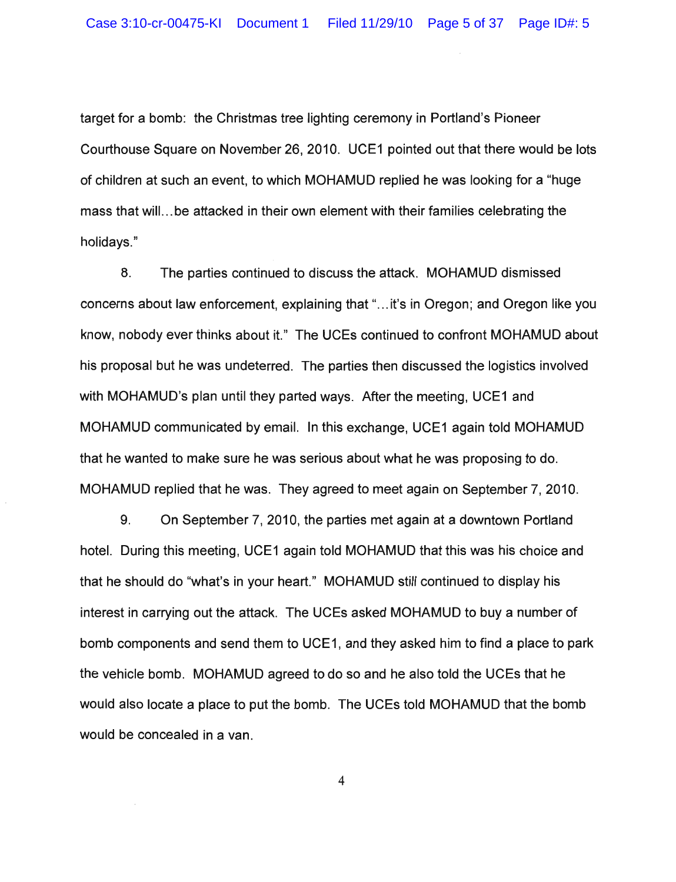target for a bomb: the Christmas tree lighting ceremony in Portland's Pioneer Courthouse Square on November 26, 2010. UCE1 pointed out that there would be lots of children at such an event, to which MOHAMUD replied he was looking for a "huge mass that will... be attacked in their own element with their families celebrating the holidays."

8. The parties continued to discuss the attack. MOHAMUD dismissed concerns about law enforcement, explaining that"... it's in Oregon; and Oregon like you know, nobody ever thinks about it." The UCEs continued to confront MOHAMUD about his proposal but he was undeterred. The parties then discussed the logistics involved with MOHAMUD's plan until they parted ways. After the meeting, UCE1 and MOHAMUD communicated byemail. In this exchange, UCE1 again told MOHAMUD that he wanted to make sure he was serious about what he was proposing to do. MOHAMUD replied that he was. They agreed to meet again on September 7,2010.

9. On September 7, 2010, the parties met again at a downtown Portland hotel. During this meeting, UCE1 again told MOHAMUD that this was his choice and that he should do "what's in your heart." MOHAMUD still continued to display his interest in carrying out the attack. The UCEs asked MOHAMUD to buy a number of bomb components and send them to UCE1, and they asked him to find a place to park the vehicle bomb. MOHAMUD agreed to do so and he also told the UCEs that he would also locate a place to put the bomb. The UCEs told MOHAMUD that the bomb would be concealed in a van.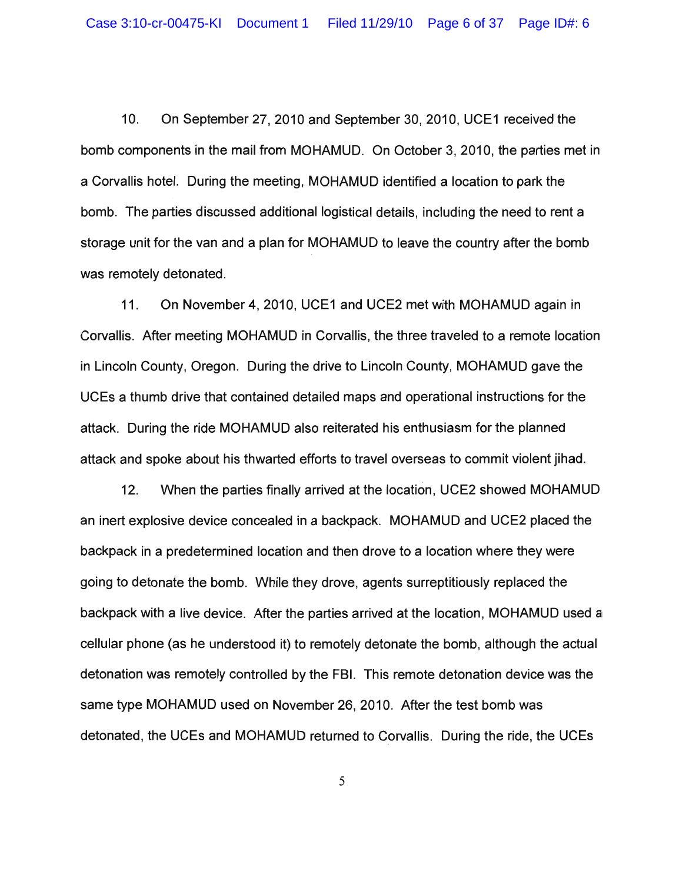10. On September 27,2010 and September 30,2010, UCE1 received the bomb components in the mail from MOHAMUD. On October 3, 2010, the parties met in a Corvallis hotel. During the meeting, MOHAMUD identified a location to park the bomb. The parties discussed additional logistical details, including the need to rent a storage unit for the van and a plan for MOHAMUD to leave the country after the bomb was remotely detonated.

11. On November 4, 2010, UCE1 and UCE2 met with MOHAMUD again in Corvallis. After meeting MOHAMUD in Corvallis, the three traveled to a remote location in Lincoln County, Oregon. During the drive to Lincoln County, MOHAMUD gave the UCEs a thumb drive that contained detailed maps and operational instructions for the attack. During the ride MOHAMUD also reiterated his enthusiasm for the planned attack and spoke about his thwarted efforts to travel overseas to commit violent jihad.

12. When the parties finally arrived at the location, UCE2 showed MOHAMUD an inert explosive device concealed in a backpack. MOHAMUD and UCE2 placed the backpack in a predetermined location and then drove to a location where they were going to detonate the bomb. While they drove, agents surreptitiously replaced the backpack with a live device. After the parties arrived at the location, MOHAMUD used a cellular phone (as he understood it) to remotely detonate the bomb, although the actual detonation was remotely controlled by the FBI. This remote detonation device was the same type MOHAMUD used on November 26, 2010. After the test bomb was detonated, the UCEs and MOHAMUD returned to Corvallis. During the ride, the UCEs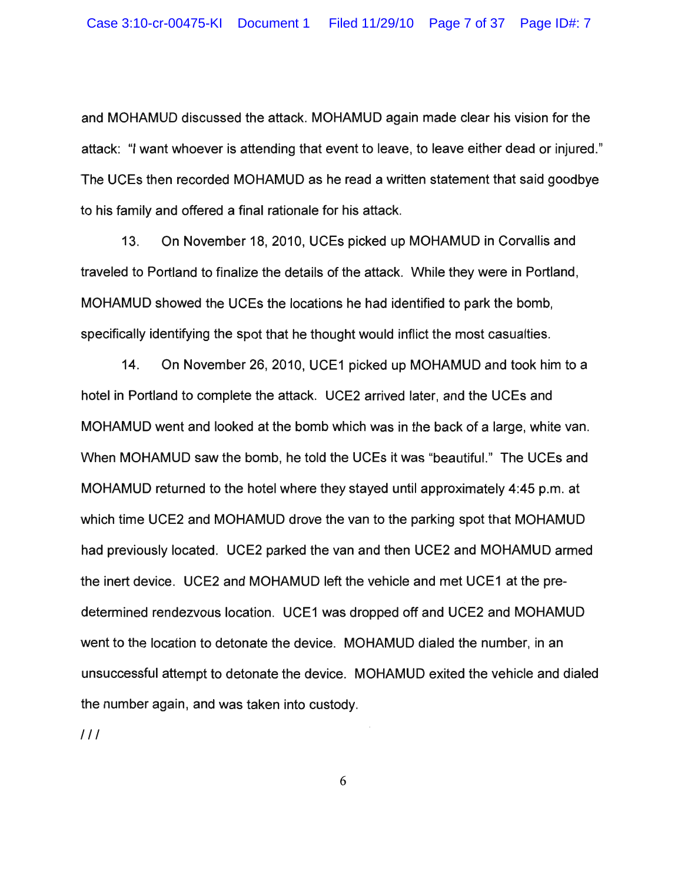and MOHAMUD discussed the attack. MOHAMUD again made clear his vision for the attack: "I want whoever is attending that event to leave, to leave either dead or injured." The UCEs then recorded MOHAMUD as he read a written statement that said goodbye to his family and offered a final rationale for his attack.

13. On November 18,2010, UCEs picked up MOHAMUD in Corvallis and traveled to Portland to finalize the details of the attack. While they were in Portland, MOHAMUD showed the UCEs the locations he had identified to park the bomb, specifically identifying the spot that he thought would inflict the most casualties.

14. On November 26,2010, UCE1 picked up MOHAMUD and took him to a hotel in Portland to complete the attack. UCE2 arrived later, and the UCEs and MOHAMUD went and looked at the bomb which was in the back of a large, white van. When MOHAMUD saw the bomb, he told the UCEs it was "beautiful." The UCEs and MOHAMUD returned to the hotel where they stayed until approximately 4:45 p.m. at which time UCE2 and MOHAMUD drove the van to the parking spot that MOHAMUD had previously located. UCE2 parked the van and then UCE2 and MOHAMUD armed the inert device. UCE2 and MOHAMUD left the vehicle and met UCE1 at the predetermined rendezvous location. UCE1 was dropped off and UCE2 and MOHAMUD went to the location to detonate the device. MOHAMUD dialed the number, in an unsuccessful attempt to detonate the device. MOHAMUD exited the vehicle and dialed the number again, and was taken into custody.

 $111$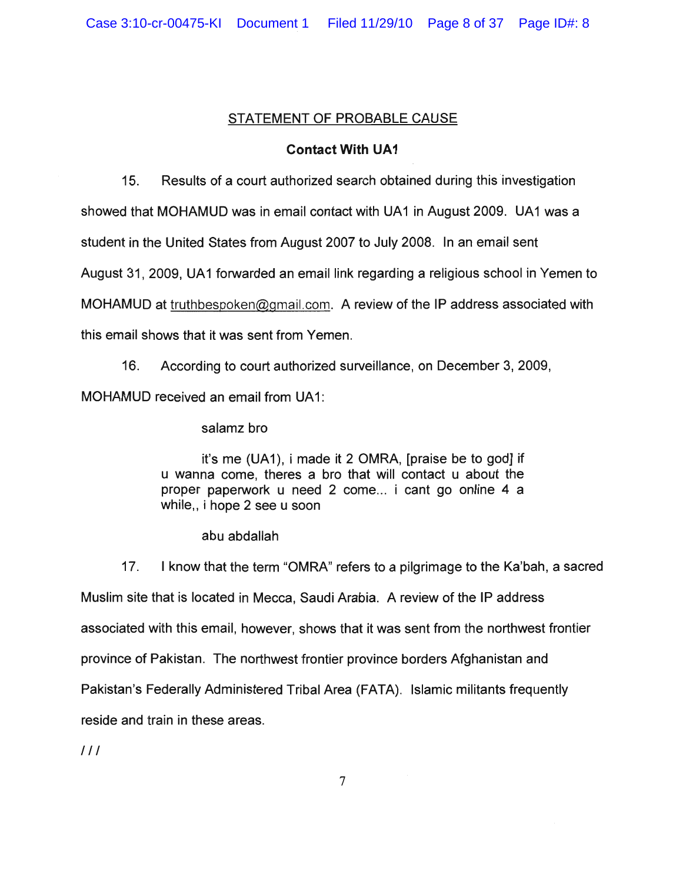# STATEMENT OF PROBABLE CAUSE

# **Contact With UA1**

15. Results of a court authorized search obtained during this investigation

showed that MOHAMUD was in email contact with UA1 in August 2009. UA1 was a

student in the United States from August 2007 to July 2008. In an email sent

August 31,2009, UA1 forwarded an email link regarding a religious school in Yemen to

MOHAMUD at truthbespoken@gmaiLcom. A review of the IP address associated with

this email shows that it was sent from Yemen.

16. According to court authorized surveillance, on December 3, 2009, MOHAMUD received an email from UA1:

salamz bro

it's me (UA1), i made it 2 OMRA, [praise be to god] if u wanna come, theres a bro that will contact u about the proper paperwork u need 2 come... i cant go online 4 a while, i hope 2 see u soon

abu abdallah

17. I know that the term "OMRA" refers to a pilgrimage to the Ka'bah, a sacred Muslim site that is located in Mecca, Saudi Arabia. A review of the IP address associated with this email, however, shows that it was sent from the northwest frontier province of Pakistan. The northwest frontier province borders Afghanistan and Pakistan's Federally Administered Tribal Area (FATA). Islamic militants frequently reside and train in these areas.

 $III$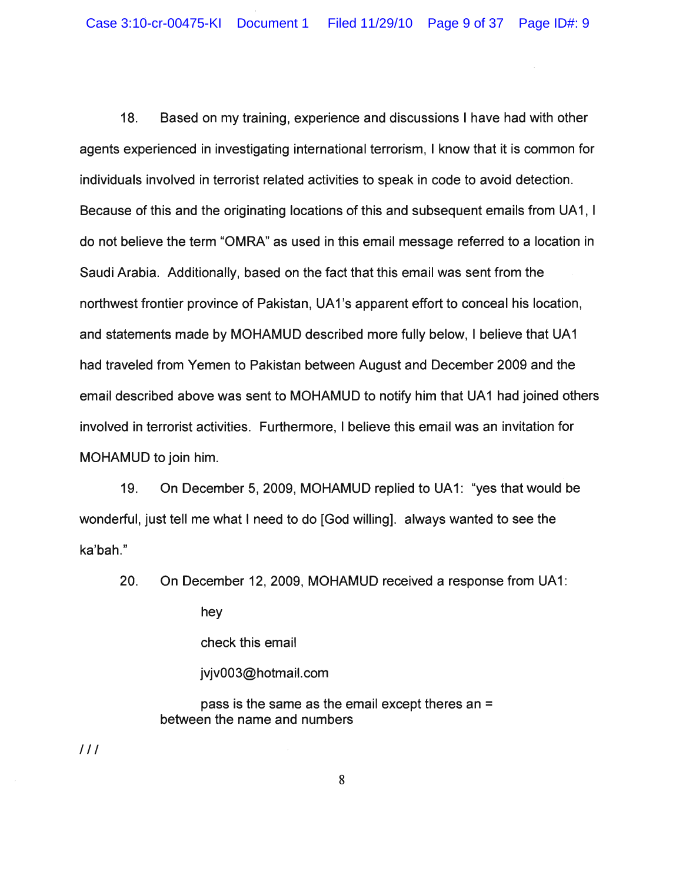18. Based on my training, experience and discussions I have had with other agents experienced in investigating international terrorism, I know that it is common for individuals involved in terrorist related activities to speak in code to avoid detection. Because of this and the originating locations of this and subsequent emails from UA 1, I do not believe the term "OMRA" as used in this email message referred to a location in Saudi Arabia. Additionally, based on the fact that this email was sent from the northwest frontier province of Pakistan, UA 1's apparent effort to conceal his location, and statements made by MOHAMUD described more fully below, I believe that UA1 had traveled from Yemen to Pakistan between August and December 2009 and the email described above was sent to MOHAMUD to notify him that UA1 had joined others involved in terrorist activities. Furthermore, I believe this email was an invitation for MOHAMUD to join him.

19. On December 5, 2009, MOHAMUD replied to UA 1: "yes that would be wonderful, just tell me what I need to do [God willing]. always wanted to see the ka'bah."

20. On December 12, 2009, MOHAMUD received a response from UA1:

hey

check this email

jvjv003@hotmail.com

pass is the same as the email except theres an = between the name and numbers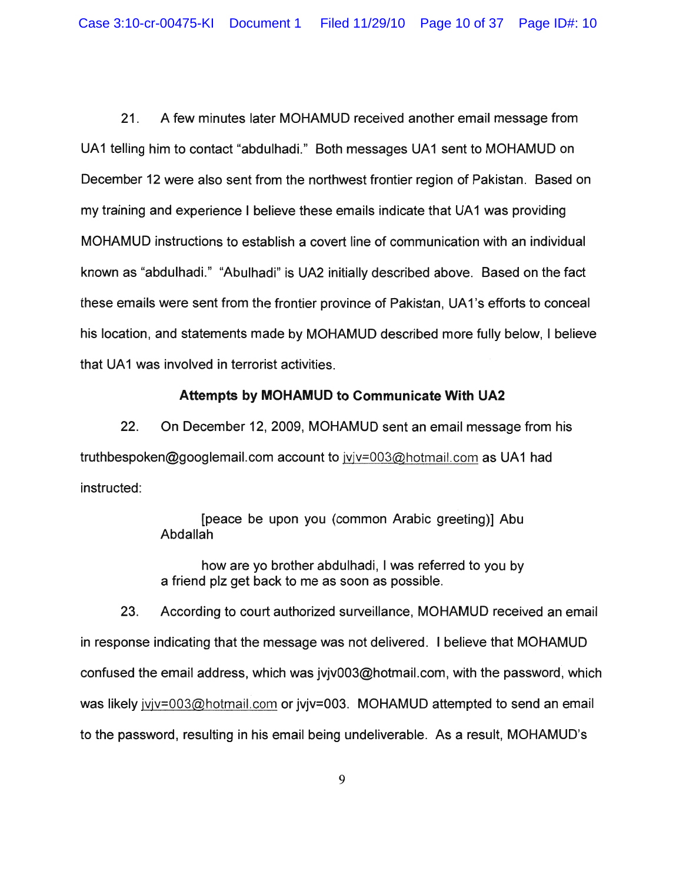21. A few minutes later MOHAMUD received another email message from UA1 telling him to contact "abdulhadi." Both messages UA1 sent to MOHAMUD on December 12 were also sent from the northwest frontier region of Pakistan. Based on my training and experience I believe these emails indicate that UA1 was providing MOHAMUD instructions to establish a covert line of communication with an individual known as "abdulhadi." "Abulhadi" is UA2 initially described above. Based on the fact these emails were sent from the frontier province of Pakistan. UA1's efforts to conceal his location, and statements made by MOHAMUD described more fully below, I believe that UA1 was involved in terrorist activities.

# **Attempts by MOHAMUD to Communicate With UA2**

22. On December 12,2009, MOHAMUD sent an email message from his truthbespoken@googlemail.com account to jvjv=003@hotmail.com as UA1 had instructed:

> [peace be upon you (common Arabic greeting)] Abu Abdallah

> how are yo brother abdulhadi, I was referred to you by a friend plz get back to me as soon as possible.

23. According to court authorized surveillance, MOHAMUD received an email in response indicating that the message was not delivered. I believe that MOHAMUD confused the email address, which was  $iviv003@$  hotmail.com, with the password, which was likely jvjv=003@hotmail.com or jvjv=003. MOHAMUD attempted to send an email to the password, resulting in his email being undeliverable. As a result, MOHAMUD's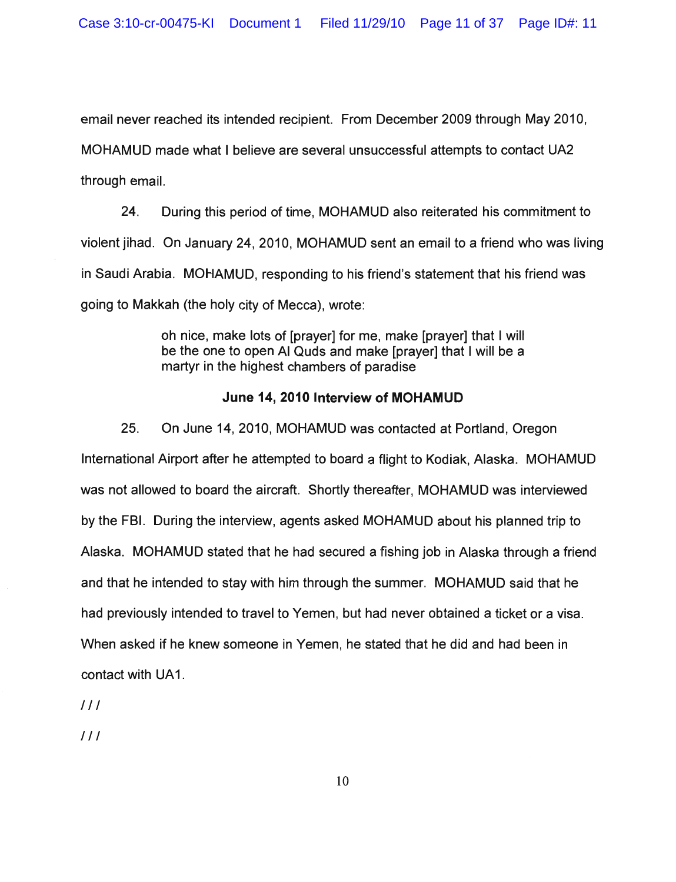email never reached its intended recipient. From December 2009 through May 2010, MOHAMUD made what I believe are several unsuccessful attempts to contact UA2 through email.

24. During this period of time, MOHAMUD also reiterated his commitment to violent jihad. On January 24, 2010, MOHAMUD sent an email to a friend who was living in Saudi Arabia. MOHAMUD, responding to his friend's statement that his friend was going to Makkah (the holy city of Mecca), wrote:

> oh nice, make lots of [prayer] for me, make [prayer] that I will be the one to open AI Quds and make [prayer] that I will be a martyr in the highest chambers of paradise

# June 14, 2010 Interview of MOHAMUD

25. On June 14, 2010, MOHAMUD was contacted at Portland, Oregon International Airport after he attempted to board a flight to Kodiak, Alaska. MOHAMUD was not allowed to board the aircraft. Shortly thereafter, MOHAMUD was interviewed by the FBI. During the interview, agents asked MOHAMUD about his planned trip to Alaska. MOHAMUD stated that he had secured a fishing job in Alaska through a friend and that he intended to stay with him through the summer. MOHAMUD said that he had previously intended to travel to Yemen, but had never obtained a ticket or a visa. When asked if he knew someone in Yemen, he stated that he did and had been in contact with UA1.

 $111$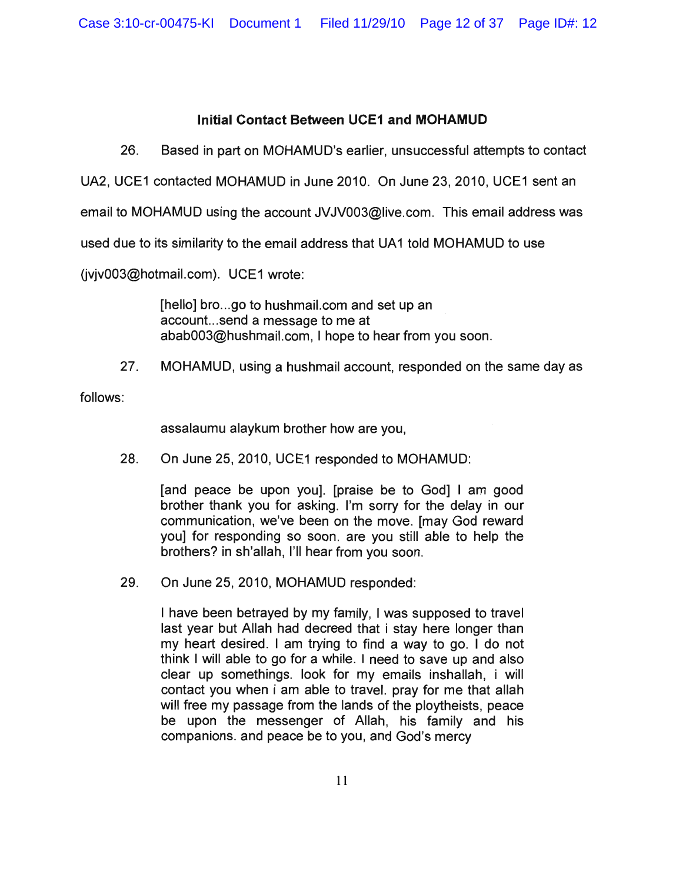Case 3:10-cr-00475-KI Document 1 Filed 11/29/10 Page 12 of 37 Page ID#: 12

# **Initial Contact Between UCE1 and MOHAMUD**

26. Based in part on MOHAMUD's earlier, unsuccessful attempts to contact

UA2, UCE1 contacted MOHAMUD in June 2010. On June 23,2010, UCE1 sent an

email to MOHAMUD using the account JVJV003@live.com. This email address was

used due to its similarity to the email address that UA1 told MOHAMUD to use

(jvjv003@hotmail.com). UCE1 wrote:

[hello] bro...go to hushmail.com and set up an account... send a message to me at abab003@hushmail.com, I hope to hear from you soon.

27. MOHAMUD, using a hushmail account, responded on the same day as

follows:

assalaumu alaykum brother how are you,

28. On June 25, 2010, UCE1 responded to MOHAMUD:

[and peace be upon you]. [praise be to God] I am good brother thank you for asking. I'm sorry for the delay in our communication, we've been on the move. [may God reward you] for responding so soon. are you still able to help the brothers? in sh'allah, I'll hear from you soon.

29. On June 25,2010, MOHAMUD responded:

I have been betrayed by my family, I was supposed to travel last year but Allah had decreed that i stay here longer than my heart desired. I am trying to find a way to go. I do not think I will able to go for a while. I need to save up and also clear up somethings. look for my emails inshallah, i will contact you when i am able to travel. pray for me that allah will free my passage from the lands of the ploytheists, peace be upon the messenger of Allah, his family and his companions. and peace be to you, and God's mercy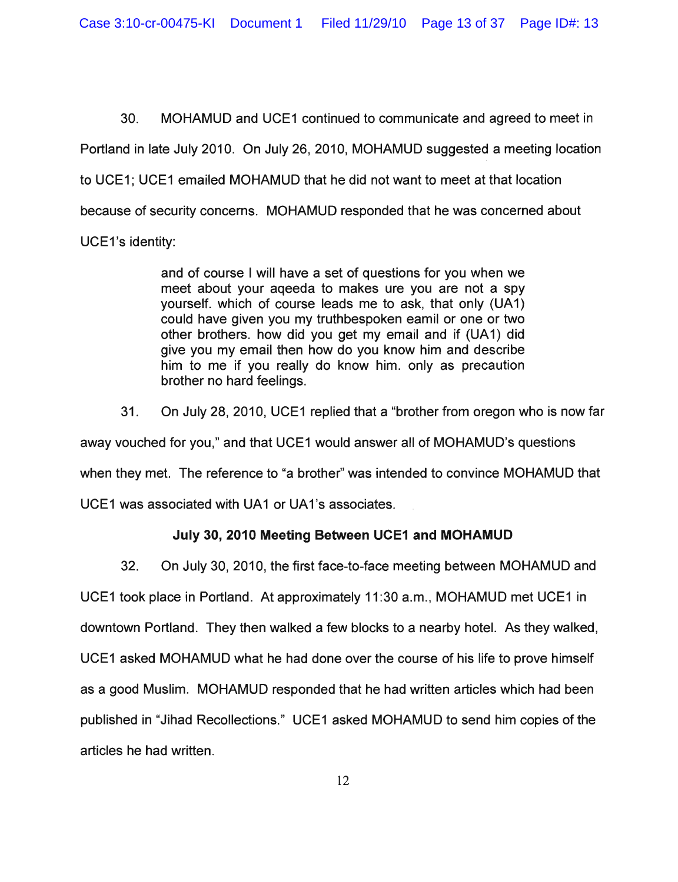Case 3:10-cr-00475-KI Document 1 Filed 11/29/10 Page 13 of 37 Page ID#: 13

30. MOHAMUD and UCE1 continued to communicate and agreed to meet in Portland in late July 2010. On July 26, 2010, MOHAMUD suggested a meeting location to UCE1; UCE1 emailed MOHAMUD that he did not want to meet at that location because of security concerns. MOHAMUD responded that he was concerned about UCE1's identity:

> and of course I will have a set of questions for you when we meet about your aqeeda to makes ure you are not a spy yourself. which of course leads me to ask, that only (UA1) could have given you my truthbespoken eamil or one or two other brothers. how did you get my email and if (UA 1) did give you my email then how do you know him and describe him to me if you really do know him. only as precaution brother no hard feelings.

31. On July 28,2010, UCE1 replied that a "brother from oregon who is now far away vouched for you," and that UCE1 would answer all of MOHAMUD's questions when they met. The reference to "a brother" was intended to convince MOHAMUD that UCE1 was associated with UA1 or UA1's associates.

# July 30, 2010 Meeting Between UCE1 and MOHAMUD

32. On July 30, 2010, the first face-to-face meeting between MOHAMUD and UCE1 took place in Portland. At approximately 11 :30 a.m., MOHAMUD met UCE1 in downtown Portland. They then walked a few blocks to a nearby hotel. As they walked, UCE1 asked MOHAMUD what he had done over the course of his life to prove himself as a good Muslim. MOHAMUD responded that he had written articles which had been published in "Jihad Recollections." UCE1 asked MOHAMUD to send him copies of the articles he had written.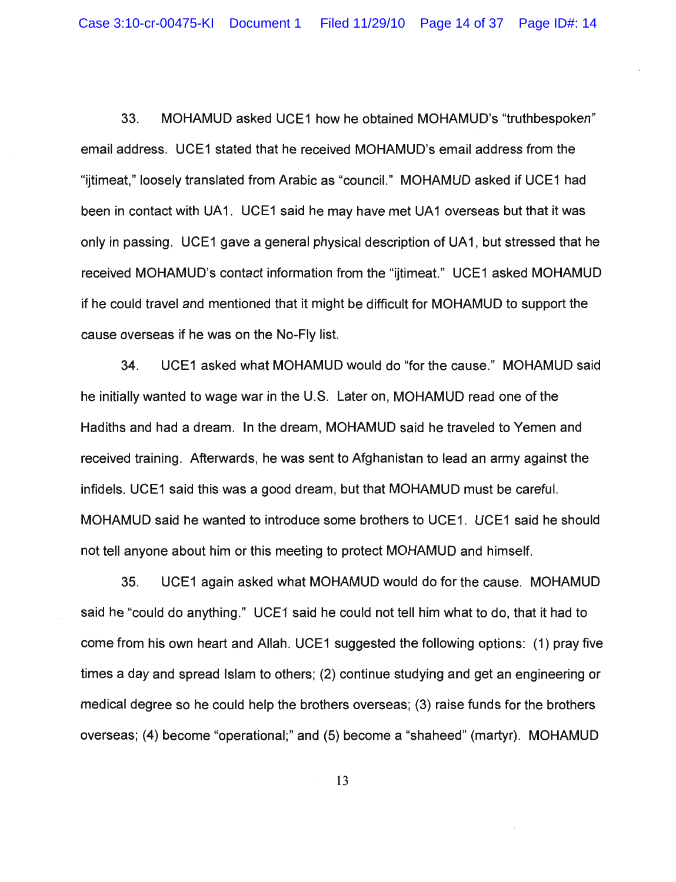33. MOHAMUD asked UCE1 how he obtained MOHAMUD's "truth bespoken" email address. UCE1 stated that he received MOHAMUD's email address from the "ijtimeat," loosely translated from Arabic as "council." MOHAMUD asked if UCE1 had been in contact with UA1. UCE1 said he may have met UA1 overseas but that it was only in passing. UCE1 gave a general physical description of UA1, but stressed that he received MOHAMUD's contact information from the "ijtimeat." UCE1 asked MOHAMUD if he could travel and mentioned that it might be difficult for MOHAMUD to support the cause overseas if he was on the No-Fly list.

34. UCE1 asked what MOHAMUD would do "for the cause." MOHAMUD said he initially wanted to wage war in the U.S. Later on, MOHAMUD read one of the Hadiths and had a dream. In the dream, MOHAMUD said he traveled to Yemen and received training. Afterwards, he was sent to Afghanistan to lead an army against the infidels. UCE1 said this was a good dream, but that MOHAMUD must be careful. MOHAMUD said he wanted to introduce some brothers to UCE1. UCE1 said he should not tell anyone about him or this meeting to protect MOHAMUD and himself.

35. UCE1 again asked what MOHAMUD would do for the cause. MOHAMUD said he "could do anything." UCE1 said he could not tell him what to do, that it had to come from his own heart and Allah. UCE1 suggested the following options: (1) pray five times a day and spread Islam to others; (2) continue studying and get an engineering or medical degree so he could help the brothers overseas; (3) raise funds for the brothers overseas; (4) become "operational;" and (5) become a "shaheed" (martyr). MOHAMUD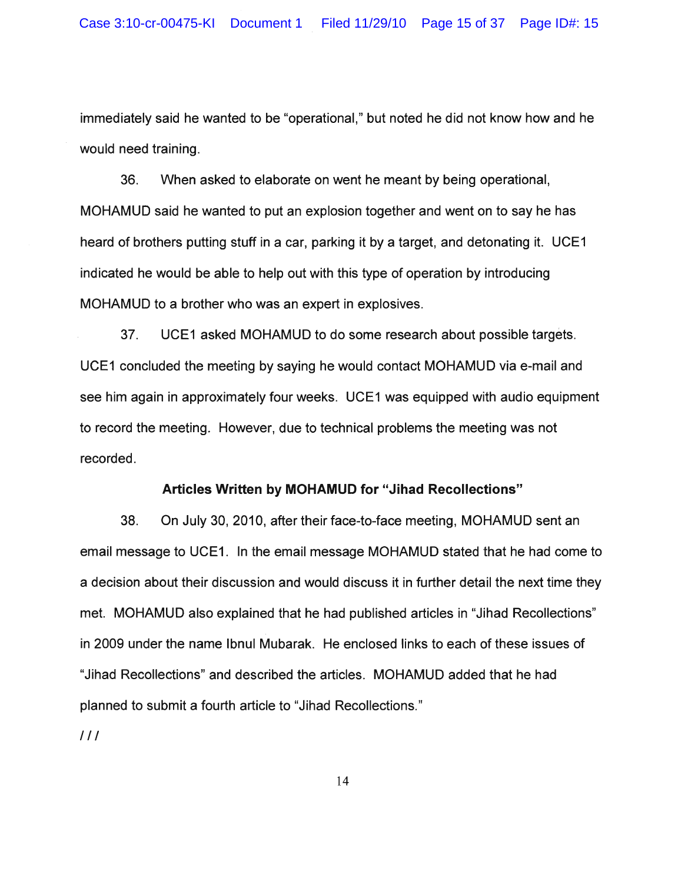immediately said he wanted to be "operational," but noted he did not know how and he would need training.

36. When asked to elaborate on went he meant by being operational, MOHAMUD said he wanted to put an explosion together and went on to say he has heard of brothers putting stuff in a car, parking it by a target, and detonating it. UCE1 indicated he would be able to help out with this type of operation by introducing MOHAMUD to a brother who was an expert in explosives.

37. UCE1 asked MOHAMUD to do some research about possible targets. UCE1 concluded the meeting by saying he would contact MOHAMUD via e-mail and see him again in approximately four weeks. UCE1 was equipped with audio equipment to record the meeting. However, due to technical problems the meeting was not recorded.

## **Articles Written by MOHAMUD for "Jihad Recollections"**

38. On July 30, 2010, after their face-to-face meeting, MOHAMUD sent an email message to UCE1. In the email message MOHAMUD stated that he had come to a decision about their discussion and would discuss it in further detail the next time they met. MOHAMUD also explained that he had published articles in "Jihad Recollections" in 2009 under the name Ibnul Mubarak. He enclosed links to each of these issues of "Jihad Recollections" and described the articles. MOHAMUD added that he had planned to submit a fourth article to "Jihad Recollections."

III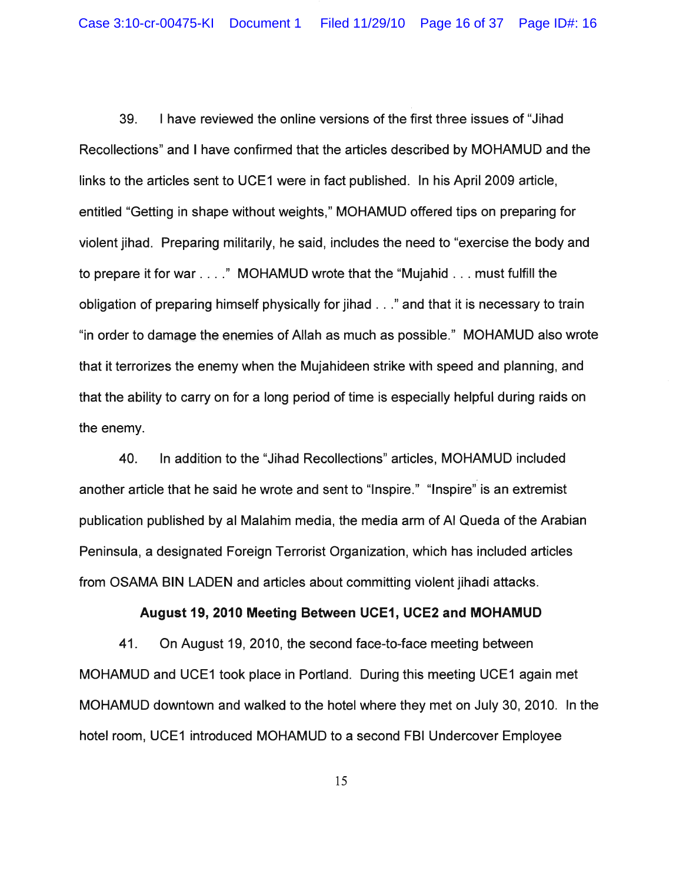39. I have reviewed the online versions of the first three issues of "Jihad Recollections" and I have confirmed that the articles described by MOHAMUD and the links to the articles sent to UCE1 were in fact published. In his April 2009 article, entitled "Getting in shape without weights," MOHAMUD offered tips on preparing for violent jihad. Preparing militarily, he said, includes the need to "exercise the body and to prepare it for war ...." MOHAMUD wrote that the "Mujahid ... must fulfill the obligation of preparing himself physically for jihad ..." and that it is necessary to train "in order to damage the enemies of Allah as much as possible." MOHAMUD also wrote that it terrorizes the enemy when the Mujahideen strike with speed and planning, and that the ability to carry on for a long period of time is especially helpful during raids on the enemy.

40. In addition to the "Jihad Recollections" articles, MOHAMUD included another article that he said he wrote and sent to "Inspire." "Inspire" is an extremist publication published by al Malahim media, the media arm of AI Queda of the Arabian Peninsula, a designated Foreign Terrorist Organization, which has included articles from OSAMA BIN LADEN and articles about committing violent jihadi attacks.

## August 19,2010 Meeting Between UCE1, UCE2 and MOHAMUD

41. On August 19, 2010, the second face-to-face meeting between MOHAMUD and UCE1 took place in Portland. During this meeting UCE1 again met MOHAMUD downtown and walked to the hotel where they met on July 30, 2010. In the hotel room, UCE1 introduced MOHAMUD to a second FBI Undercover Employee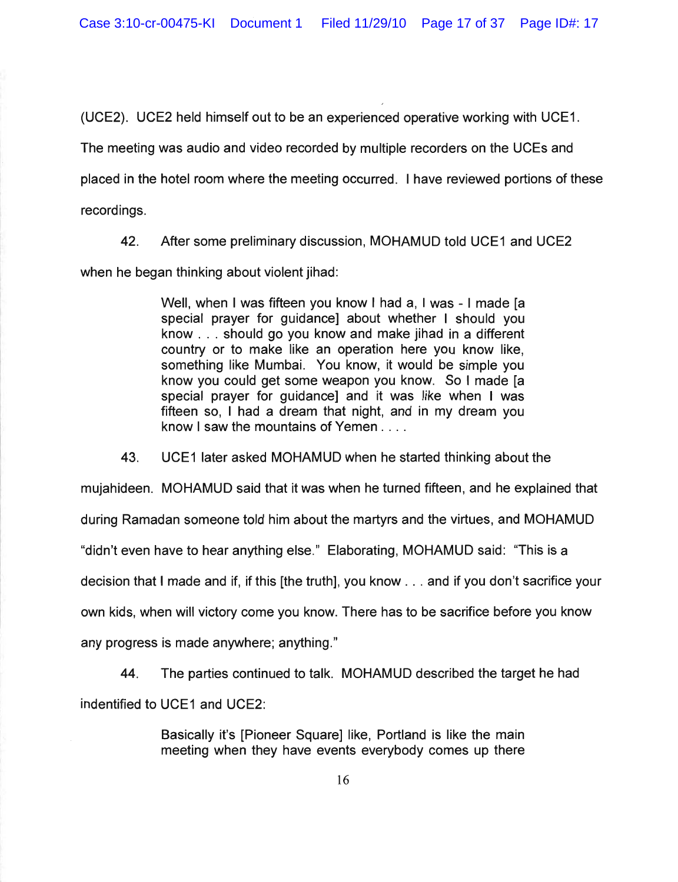(UCE2). UCE2 held himself out to be an experienced operative working with UCE1.

The meeting was audio and video recorded by multiple recorders on the UCEs and

placed in the hotel room where the meeting occurred. I have reviewed portions of these

recordings.

42. After some preliminary discussion, MOHAMUD told UCE1 and UCE2

when he began thinking about violent jihad:

Well, when I was fifteen you know I had a, I was - I made [a special prayer for guidance] about whether I should you know ... should go you know and make jihad in a different country or to make like an operation here you know like, something like Mumbai. You know, it would be simple you know you could get some weapon you know. So I made [a special prayer for guidance] and it was like when I was fifteen so, I had a dream that night, and in my dream you know I saw the mountains of Yemen ....

43. UCE1 later asked MOHAMUD when he started thinking about the

mujahideen. MOHAMUD said that it was when he turned fifteen, and he explained that

during Ramadan someone told him about the martyrs and the virtues, and MOHAMUD

"didn't even have to hear anything else." Elaborating, MOHAMUD said: "This is a

decision that I made and if, if this [the truth], you know ... and if you don't sacrifice your

own kids, when will victory come you know. There has to be sacrifice before you know

any progress is made anywhere; anything."

44. The parties continued to talk. MOHAMUD described the target he had indentified to UCE1 and UCE2:

> Basically it's [Pioneer Square] like, Portland is like the main meeting when they have events everybody comes up there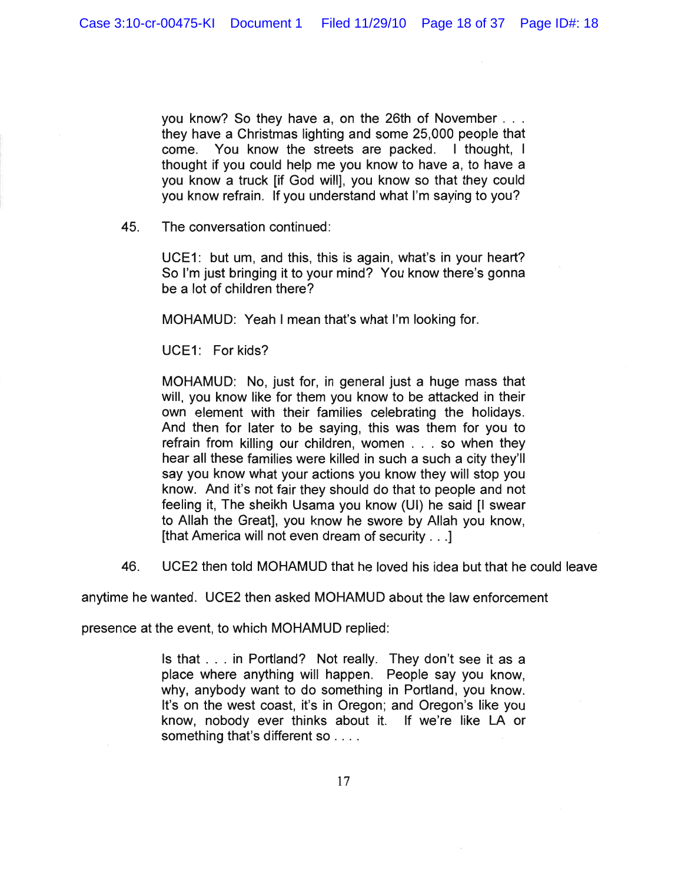you know? So they have a, on the 26th of November  $\ldots$ they have a Christmas lighting and some 25,000 people that come. You know the streets are packed. I thought, I thought if you could help me you know to have a, to have a you know a truck [if God will], you know so that they could you know refrain. If you understand what I'm saying to you?

45. The conversation continued:

UCE1: but um, and this, this is again, what's in your heart? So I'm just bringing it to your mind? You know there's gonna be a lot of children there?

MOHAMUD: Yeah I mean that's what I'm looking for.

UCE1: For kids?

MOHAMUD: No, just for, in general just a huge mass that will, you know like for them you know to be attacked in their own element with their families celebrating the holidays. And then for later to be saying, this was them for you to refrain from killing our children, women ... so when they hear all these families were killed in such a such a city they'll say you know what your actions you know they will stop you know. And it's not fair they should do that to people and not feeling it, The sheikh Usama you know (UI) he said [I swear to Allah the Great], you know he swore by Allah you know, [that America will not even dream of security . . .]

46. UCE2 then told MOHAMUD that he loved his idea but that he could leave

anytime he wanted. UCE2 then asked MOHAMUD about the law enforcement

presence at the event, to which MOHAMUD replied:

Is that ... in Portland? Not really. They don't see it as a place where anything will happen. People say you know, why, anybody want to do something in Portland, you know. It's on the west coast, it's in Oregon; and Oregon's like you know, nobody ever thinks about it. If we're like LA or something that's different so . . . .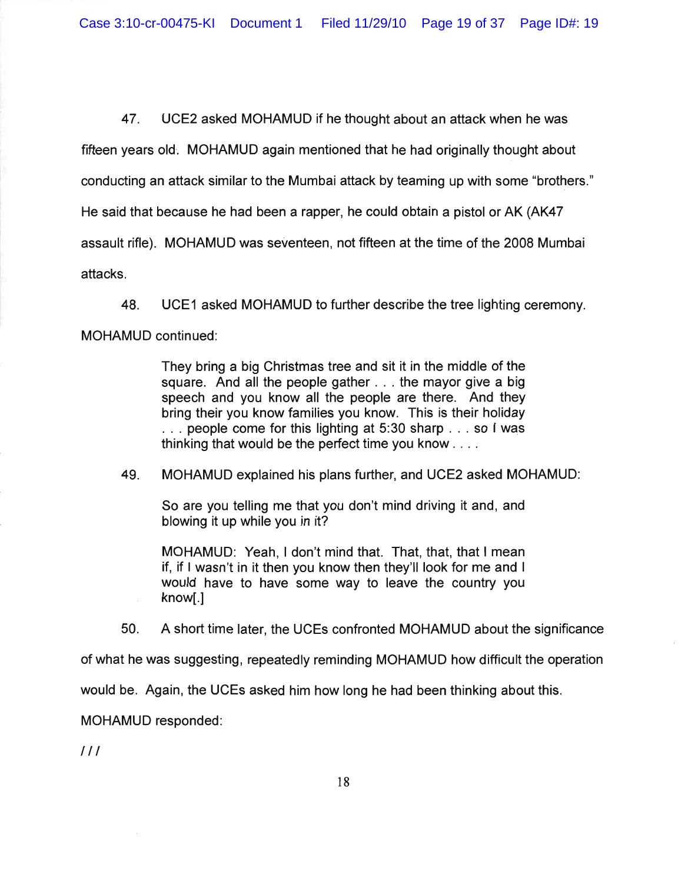Case 3:10-cr-00475-KI Document 1 Filed 11/29/10 Page 19 of 37 Page ID#: 19

47. UCE2 asked MOHAMUD if he thought about an attack when he was

fifteen years old. MOHAMUD again mentioned that he had originally thought about

conducting an attack similar to the Mumbai attack by teaming up with some "brothers."

He said that because he had been a rapper, he could obtain a pistol or AK (AK47

assault rifle). MOHAMUD was seventeen, not fifteen at the time of the 2008 Mumbai

attacks.

48. UCE1 asked MOHAMUD to further describe the tree lighting ceremony.

MOHAMUD continued:

They bring a big Christmas tree and sit it in the middle of the square. And all the people gather ... the mayor give a big speech and you know all the people are there. And they bring their you know families you know. This is their holiday ... people come for this lighting at 5:30 sharp ... so I was thinking that would be the perfect time you know ... .

49. MOHAMUD explained his plans further, and UCE2 asked MOHAMUD:

So are you telling me that you don't mind driving it and, and blowing it up while you in it?

MOHAMUD: Yeah, I don't mind that. That, that, that I mean if, if I wasn't in it then you know then they'll look for me and I would have to have some way to leave the country you know[.]

50. A short time later, the UCEs confronted MOHAMUD about the significance

of what he was suggesting, repeatedly reminding MOHAMUD how difficult the operation

would be. Again, the UCEs asked him how long he had been thinking about this.

MOHAMUD responded: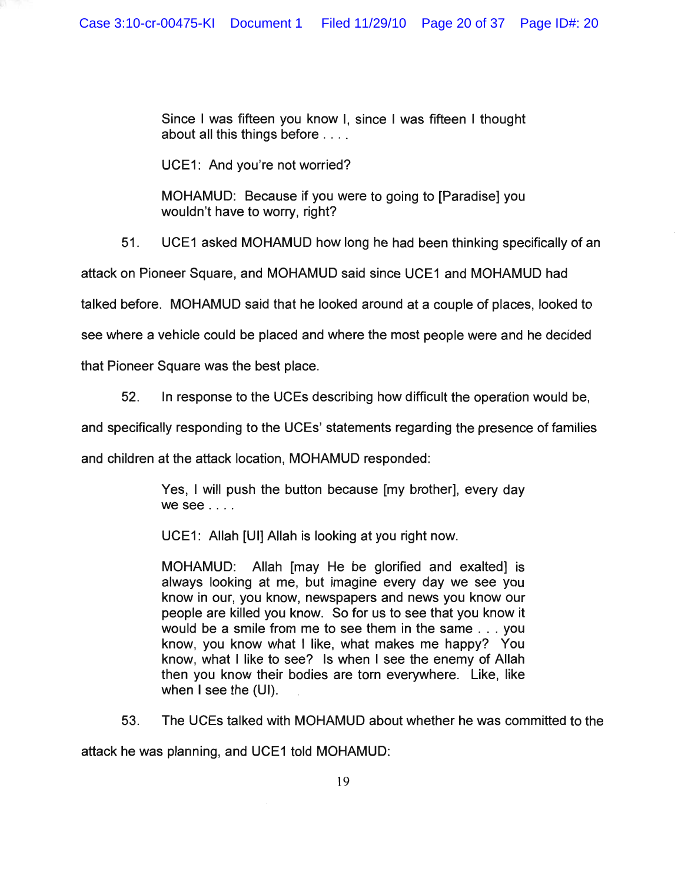Since I was fifteen you know I, since I was fifteen I thought about all this things before ....

UCE1: And you're not worried?

MOHAMUD: Because if you were to going to [Paradise] you wouldn't have to worry, right?

51. UCE1 asked MOHAMUD how long he had been thinking specifically of an

attack on Pioneer Square, and MOHAMUD said since UCE1 and MOHAMUD had

talked before. MOHAMUD said that he looked around at a couple of places, looked to

see where a vehicle could be placed and where the most people were and he decided

that Pioneer Square was the best place.

52. In response to the UCEs describing how difficult the operation would be,

and specifically responding to the UCEs' statements regarding the presence of families

and children at the attack location, MOHAMUD responded:

Yes, I will push the button because [my brother], every day we see ....

UCE1: Allah [UI] Allah is looking at you right now.

MOHAMUD: Allah [may He be glorified and exalted] is always looking at me, but imagine every day we see you know in our, you know, newspapers and news you know our people are killed you know. So for us to see that you know it would be a smile from me to see them in the same ... you know, you know what I like, what makes me happy? You know, what I like to see? Is when I see the enemy of Allah then you know their bodies are torn everywhere. Like, like when I see the (UI).

53. The UCEs talked with MOHAMUD about whether he was committed to the

attack he was planning, and UCE1 told MOHAMUD: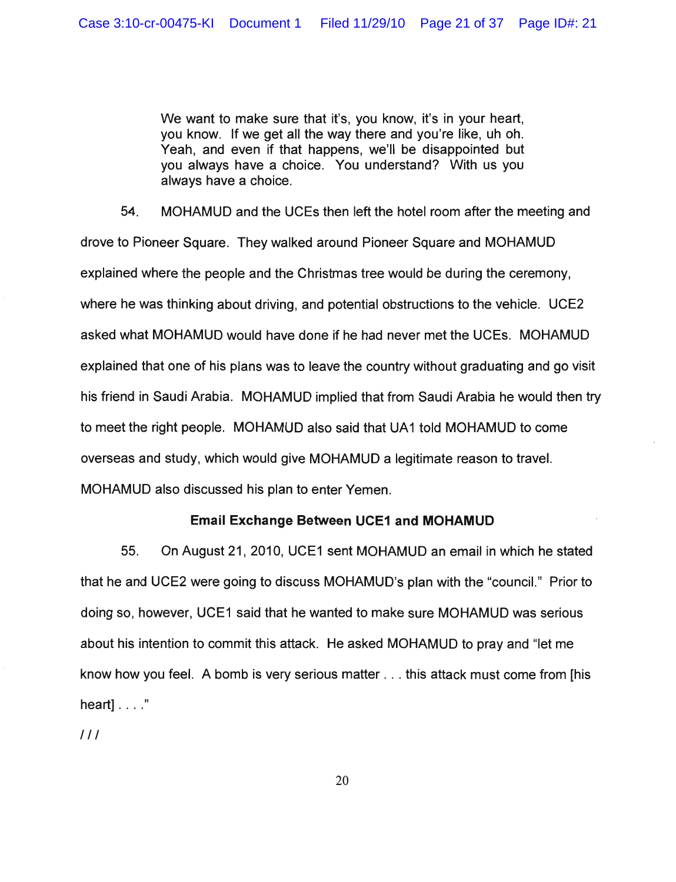We want to make sure that it's, you know, it's in your heart, you know. If we get all the way there and you're like, uh oh. Yeah, and even if that happens, we'll be disappointed but you always have a choice. You understand? With us you always have a choice.

54. MOHAMUD and the UCEs then left the hotel room after the meeting and drove to Pioneer Square. They walked around Pioneer Square and MOHAMUD explained where the people and the Christmas tree would be during the ceremony, where he was thinking about driving, and potential obstructions to the vehicle. UCE2 asked what MOHAMUD would have done if he had never met the UCEs. MOHAMUD explained that one of his plans was to leave the country without graduating and go visit his friend in Saudi Arabia. MOHAMUD implied that from Saudi Arabia he would then try to meet the right people. MOHAMUD also said that UA1 told MOHAMUD to come overseas and study, which would give MOHAMUD a legitimate reason to travel. MOHAMUD also discussed his plan to enter Yemen.

# **Email Exchange Between UCE1 and MOHAMUD**

55. On August 21, 2010, UCE1 sent MOHAMUD an email in which he stated that he and UCE2 were going to discuss MOHAMUD's plan with the "council." Prior to doing so, however, UCE1 said that he wanted to make sure MOHAMUD was serious about his intention to commit this attack. He asked MOHAMUD to pray and "let me know how you feel. A bomb is very serious matter ... this attack must come from [his heart] . . . ."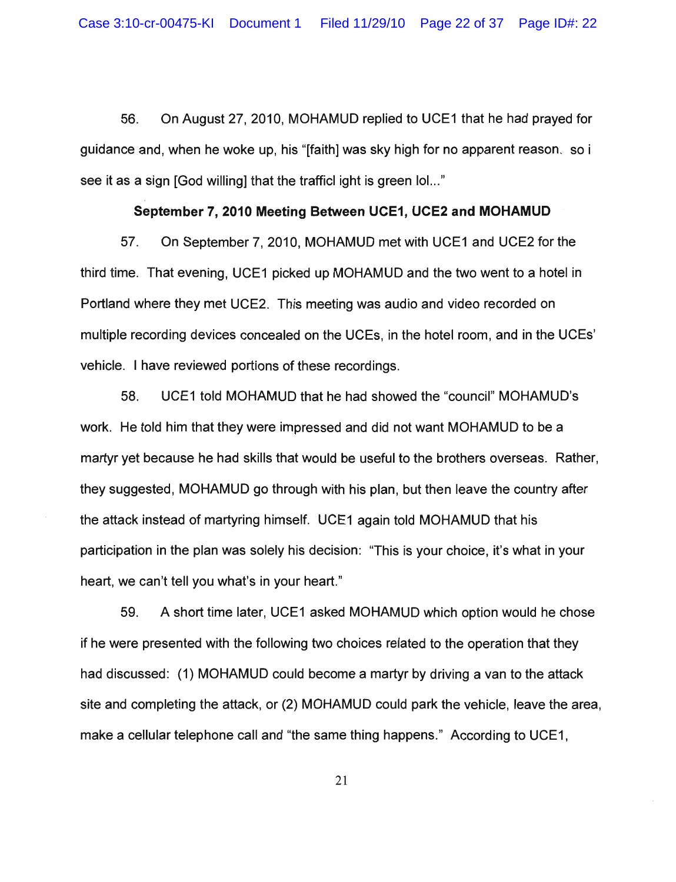56. On August 27, 2010, MOHAMUD replied to UCE1 that he had prayed for guidance and, when he woke up, his "[faith] was sky high for no apparent reason. so i see it as a sign [God willing] that the trafficl ight is green  $I_0$ ..."

### **September 7, 2010 Meeting Between UCE1, UCE2 and MOHAMUD**

57. On September 7, 2010, MOHAMUD met with UCE1 and UCE2 for the third time. That evening, UCE1 picked up MOHAMUD and the two went to a hotel in Portland where they met UCE2. This meeting was audio and video recorded on multiple recording devices concealed on the UCEs, in the hotel room, and in the UCEs' vehicle. I have reviewed portions of these recordings.

58. UCE1 told MOHAMUD that he had showed the "council" MOHAMUD's work. He told him that they were impressed and did not want MOHAMUD to be a martyr yet because he had skills that would be useful to the brothers overseas. Rather, they suggested, MOHAMUD go through with his plan, but then leave the country after the attack instead of martyring himself. UCE1 again told MOHAMUD that his participation in the plan was solely his decision: "This is your choice, it's what in your heart, we can't tell you what's in your heart."

59. A short time later, UCE1 asked MOHAMUD which option would he chose if he were presented with the following two choices related to the operation that they had discussed: (1) MOHAMUD could become a martyr by driving a van to the attack site and completing the attack, or (2) MOHAMUD could park the vehicle, leave the area, make a cellular telephone call and "the same thing happens." According to UCE1,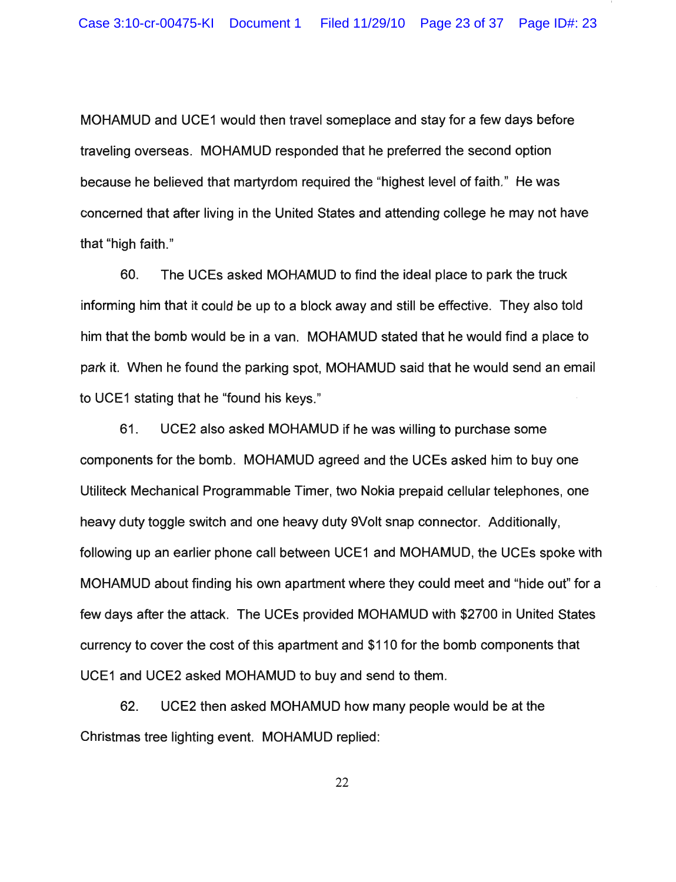MOHAMUD and UCE1 would then travel someplace and stay for a few days before traveling overseas. MOHAMUD responded that he preferred the second option because he believed that martyrdom required the "highest level of faith." He was concerned that after living in the United States and attending college he may not have that "high faith."

60. The UCEs asked MOHAMUD to find the ideal place to park the truck informing him that it could be up to a block away and still be effective. They also told him that the bomb would be in a van. MOHAMUD stated that he would find a place to park it. When he found the parking spot, MOHAMUD said that he would send an email to UCE1 stating that he "found his keys."

61. UCE2 also asked MOHAMUD if he was willing to purchase some components for the bomb. MOHAMUD agreed and the UCEs asked him to buy one Utiliteck Mechanical Programmable Timer, two Nokia prepaid cellular telephones, one heavy duty toggle switch and one heavy duty 9Volt snap connector. Additionally, following up an earlier phone call between UCE1 and MOHAMUD, the UCEs spoke with MOHAMUD about finding his own apartment where they could meet and "hide out" for a few days after the attack. The UCEs provided MOHAMUD with \$2700 in United States currency to cover the cost of this apartment and \$110 for the bomb components that UCE1 and UCE2 asked MOHAMUD to buy and send to them.

62. UCE2 then asked MOHAMUD how many people would be at the Christmas tree lighting event. MOHAMUD replied: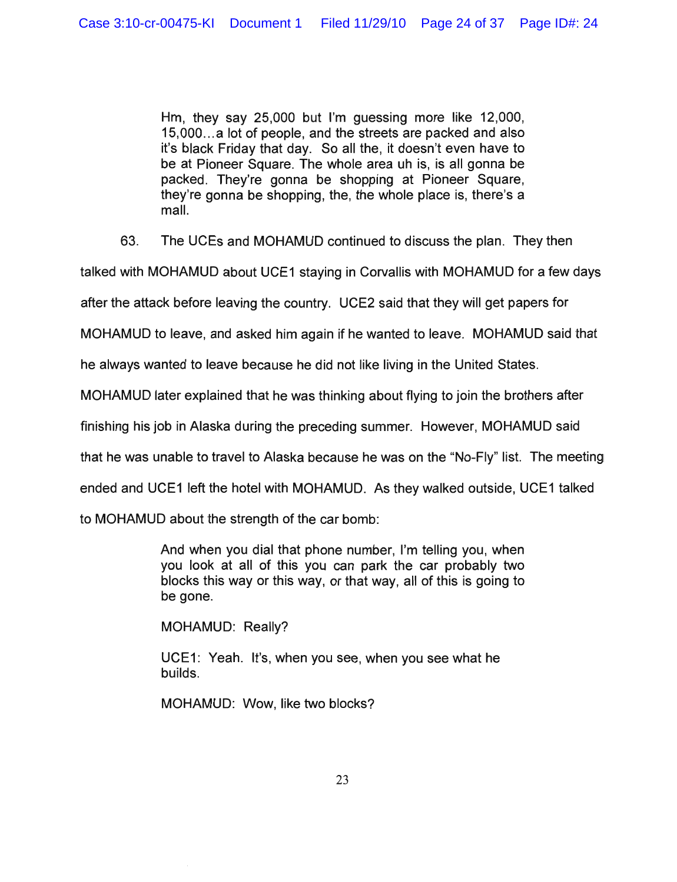Hm, they say 25,000 but I'm guessing more like 12,000, 15,000 ... a lot of people, and the streets are packed and also it's black Friday that day. So all the, it doesn't even have to be at Pioneer Square. The whole area uh is, is all gonna be packed. They're gonna be shopping at Pioneer Square, they're gonna be shopping, the, the whole place is, there's a mall.

63. The UCEs and MOHAMUD continued to discuss the plan. They then

talked with MOHAMUD about UCE1 staying in Corvallis with MOHAMUD for a few days

after the attack before leaving the country. UCE2 said that they will get papers for

MOHAMUD to leave, and asked him again if he wanted to leave. MOHAMUD said that

he always wanted to leave because he did not like living in the United States.

MOHAMUD later explained that he was thinking about flying to join the brothers after

finishing his job in Alaska during the preceding summer. However, MOHAMUD said

that he was unable to travel to Alaska because he was on the "No-Fly" list. The meeting

ended and UCE1 left the hotel with MOHAMUD. As they walked outside, UCE1 talked

to MOHAMUD about the strength of the car bomb:

And when you dial that phone number, I'm telling you, when you look at all of this you can park the car probably two blocks this way or this way, or that way, all of this is going to be gone.

MOHAMUD: Really?

UCE1: Yeah. It's, when you see, when you see what he builds.

MOHAMUD: Wow, like two blocks?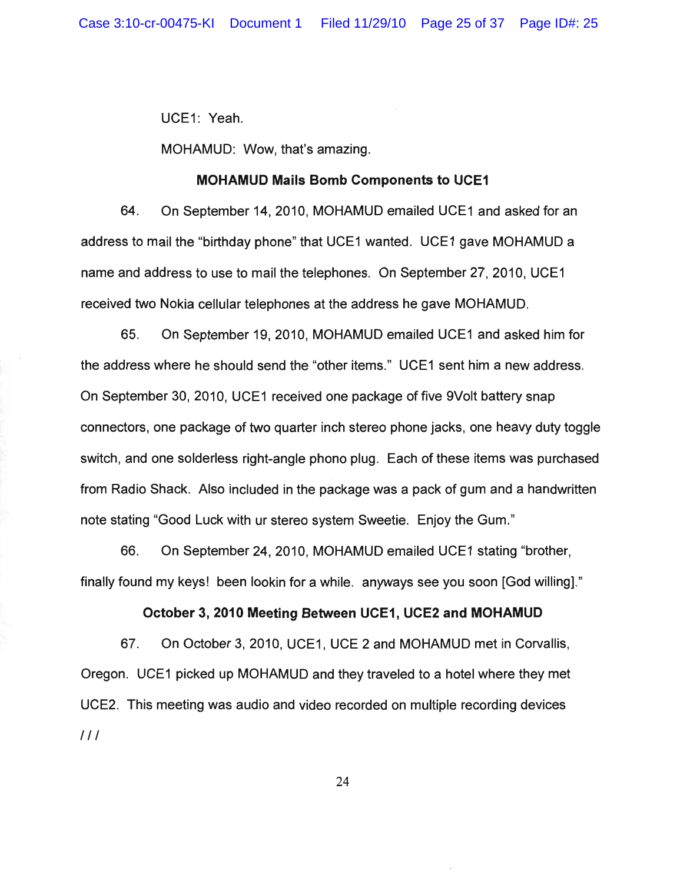UCE1: Yeah.

MOHAMUD: Wow, that's amazing.

### MOHAMUD Mails Bomb Components to UCE1

64. On September 14,2010, MOHAMUD emailed UCE1 and asked for an address to mail the "birthday phone" that UCE1 wanted. UCE1 gave MOHAMUD a name and address to use to mail the telephones. On September 27,2010, UCE1 received two Nokia cellular telephones at the address he gave MOHAMUD.

65. On September 19,2010, MOHAMUD emailed UCE1 and asked him for the address where he should send the "other items." UCE1 sent him a new address. On September 30, 2010, UCE1 received one package of five 9 Volt battery snap connectors, one package of two quarter inch stereo phone jacks, one heavy duty toggle switch, and one solderless right-angle phono plug. Each of these items was purchased from Radio Shack. Also included in the package was a pack of gum and a handwritten note stating "Good Luck with ur stereo system Sweetie. Enjoy the Gum."

66. On September 24, 2010, MOHAMUD emailed UCE1 stating "brother, finally found my keys! been lookin for a while. anyways see you soon [God willing]."

# October 3,2010 Meeting Between UCE1, UCE2 and MOHAMUD

67. On October 3,2010, UCE1, UCE 2 and MOHAMUD met in Corvallis, Oregon. UCE1 picked up MOHAMUD and they traveled to a hotel where they met UCE2. This meeting was audio and video recorded on multiple recording devices  $III$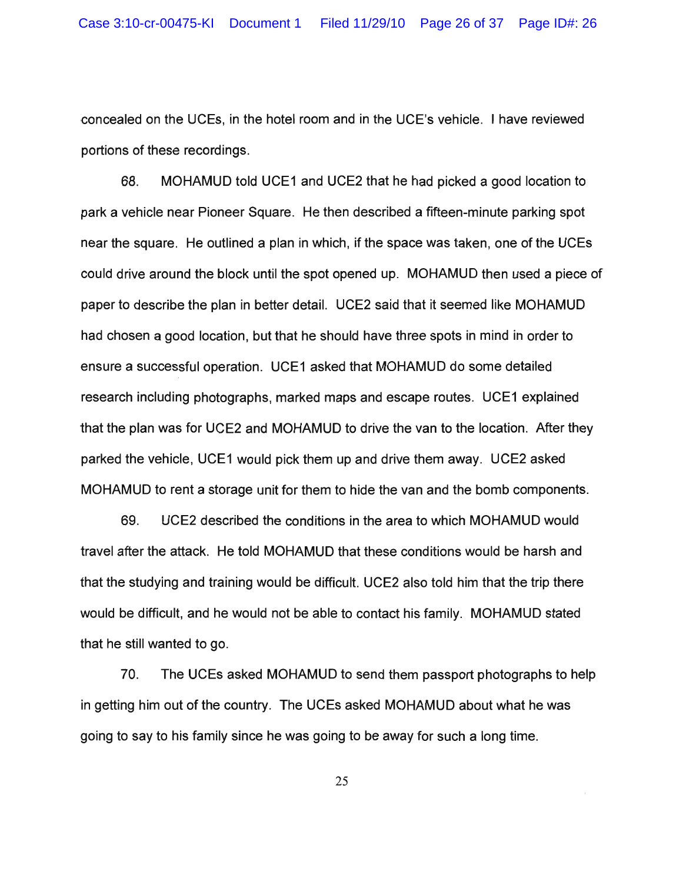concealed on the UCEs, in the hotel room and in the UCE's vehicle. I have reviewed portions of these recordings.

68. MOHAMUD told UCE1 and UCE2 that he had picked a good location to park a vehicle near Pioneer Square. He then described a fifteen-minute parking spot near the square. He outlined a plan in which, if the space was taken, one of the UCEs could drive around the block until the spot opened up. MOHAMUD then used a piece of paper to describe the plan in better detail. UCE2 said that it seemed like MOHAMUD had chosen a good location, but that he should have three spots in mind in order to ensure a successful operation. UCE1 asked that MOHAMUD do some detailed research including photographs, marked maps and escape routes. UCE1 explained that the plan was for UCE2 and MOHAMUD to drive the van to the location. After they parked the vehicle, UCE1 would pick them up and drive them away. UCE2 asked MOHAMUD to rent a storage unit for them to hide the van and the bomb components.

69. UCE2 described the conditions in the area to which MOHAMUD would travel after the attack. He told MOHAMUD that these conditions would be harsh and that the studying and training would be difficult. UCE2 also told him that the trip there would be difficult, and he would not be able to contact his family. MOHAMUD stated that he still wanted to go.

70. The UCEs asked MOHAMUD to send them passport photographs to help in getting him out of the country. The UCEs asked MOHAMUD about what he was going to say to his family since he was going to be away for such a long time.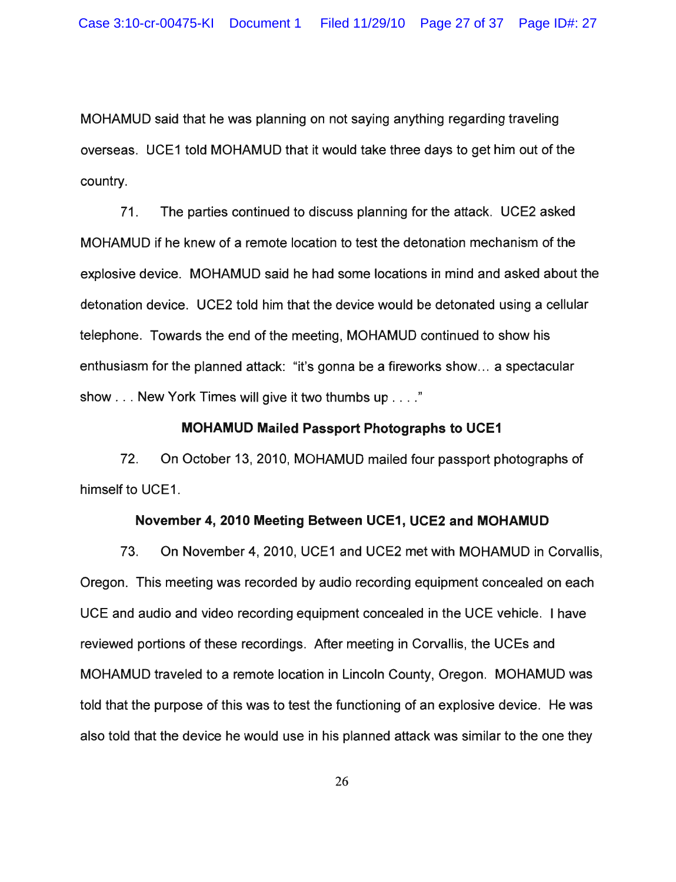MOHAMUD said that he was planning on not saying anything regarding traveling overseas. UCE1 told MOHAMUD that it would take three days to get him out of the country.

71. The parties continued to discuss planning for the attack. UCE2 asked MOHAMUD if he knew of a remote location to test the detonation mechanism of the explosive device. MOHAMUD said he had some locations in mind and asked about the detonation device. UCE2 told him that the device would be detonated using a cellular telephone. Towards the end of the meeting, MOHAMUD continued to show his enthusiasm for the planned attack: "it's gonna be a fireworks show ... a spectacular show ... New York Times will give it two thumbs up ...."

## MOHAMUD Mailed Passport Photographs to UCE1

72. On October 13, 2010, MOHAMUD mailed four passport photographs of himself to UCE1.

### November 4,2010 Meeting Between UCE1, UCE2 and MOHAMUD

73. On November 4,2010, UCE1 and UCE2 met with MOHAMUD in Corvallis, Oregon. This meeting was recorded by audio recording equipment concealed on each UCE and audio and video recording equipment concealed in the UCE vehicle. I have reviewed portions of these recordings. After meeting in Corvallis, the UCEs and MOHAMUD traveled to a remote location in Lincoln County, Oregon. MOHAMUD was told that the purpose of this was to test the functioning of an explosive device. He was also told that the device he would use in his planned attack was similar to the one they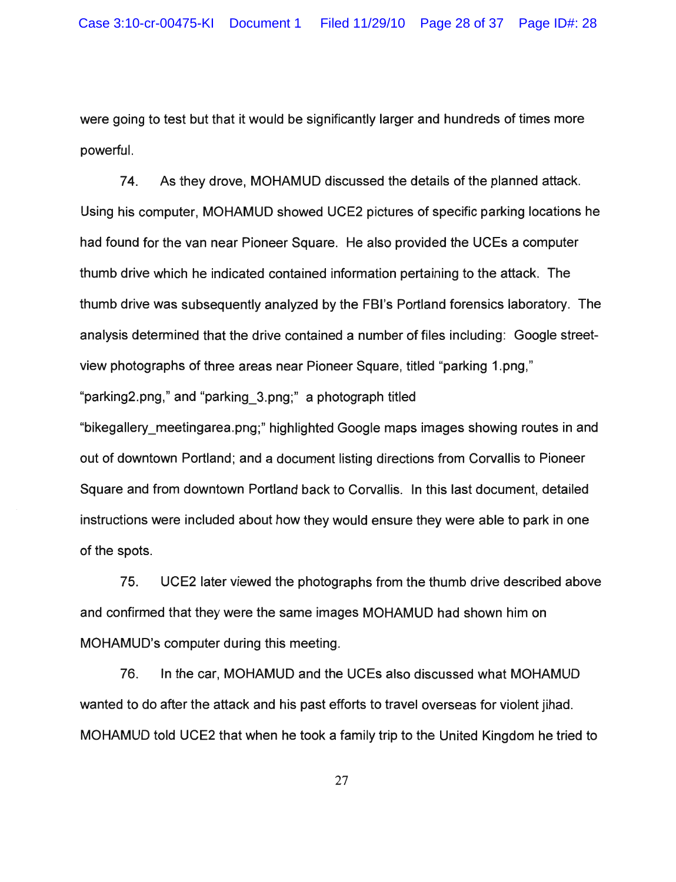were going to test but that it would be significantly larger and hundreds of times more powerful.

74. As they drove, MOHAMUD discussed the details of the planned attack. Using his cornputer, MOHAMUD showed UCE2 pictures of specific parking locations he had found for the van near Pioneer Square. He also provided the UCEs a computer thumb drive which he indicated contained information pertaining to the attack. The thumb drive was subsequently analyzed by the FBI's Portland forensics laboratory. The analysis determined that the drive contained a number of files including: Google streetview photographs of three areas near Pioneer Square, titled "parking 1.png," "parking2.png," and "parking\_3.png;" a photograph titled "bikegallery\_meetingarea.png;" highlighted Google maps images showing routes in and out of downtown Portland; and a document listing directions from Corvallis to Pioneer Square and from downtown Portland back to Corvallis. In this last document, detailed instructions were included about how they would ensure they were able to park in one of the spots.

75. UCE2 later viewed the photographs from the thumb drive described above and confirmed that they were the same images MOHAMUD had shown him on MOHAMUD's computer during this meeting.

76. In the car, MOHAMUD and the UCEs also discussed what MOHAMUD wanted to do after the attack and his past efforts to travel overseas for violent jihad. MOHAMUD told UCE2 that when he took a family trip to the United Kingdom he tried to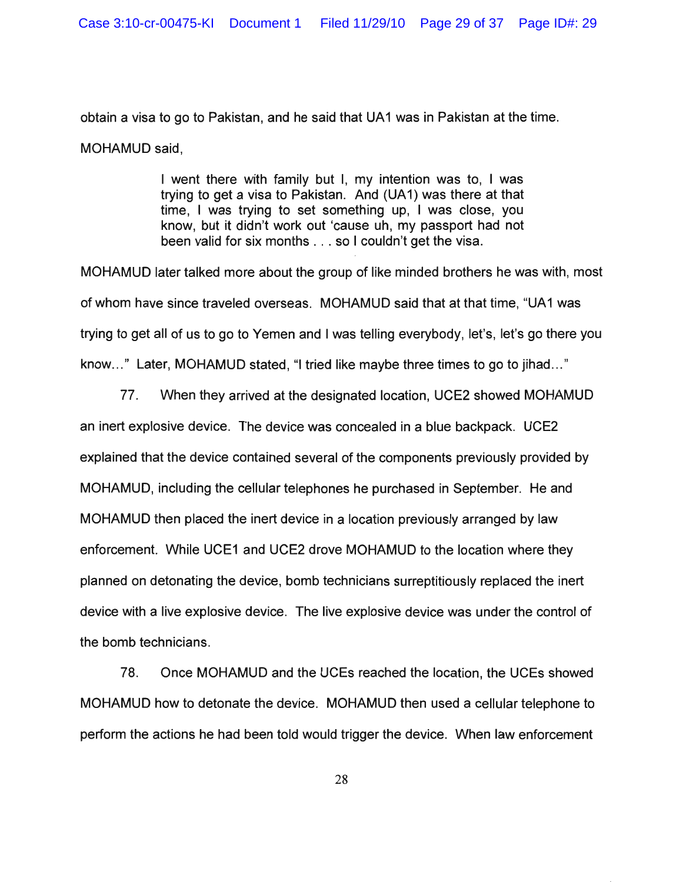obtain a visa to go to Pakistan, and he said that UA1 was in Pakistan at the time. MOHAMUD said,

> I went there with family but I, my intention was to, I was trying to get a visa to Pakistan. And (UA 1) was there at that time, I was trying to set something up, I was close, you know, but it didn't work out 'cause uh, my passport had not been valid for six months ... so I couldn't get the visa.

MOHAMUD later talked more about the group of like minded brothers he was with, most of whom have since traveled overseas. MOHAMUD said that at that time, "UA 1 was trying to get all of us to go to Yemen and I was telling everybody, let's, let's go there you know..." Later, MOHAMUD stated, "I tried like maybe three times to go to jihad..."

77. When they arrived at the designated location, UCE2 showed MOHAMUD an inert explosive device. The device was concealed in a blue backpack. UCE2 explained that the device contained several of the components previously provided by MOHAMUD, including the cellular telephones he purchased in September. He and MOHAMUD then placed the inert device in a location previously arranged by law enforcement. While UCE1 and UCE2 drove MOHAMUD to the location where they planned on detonating the device, bomb technicians surreptitiously replaced the inert device with a live explosive device. The live explosive device was under the control of the bomb technicians.

78. Once MOHAMUD and the UCEs reached the location, the UCEs showed MOHAMUD how to detonate the device. MOHAMUD then used a cellular telephone to perform the actions he had been told would trigger the device. When law enforcement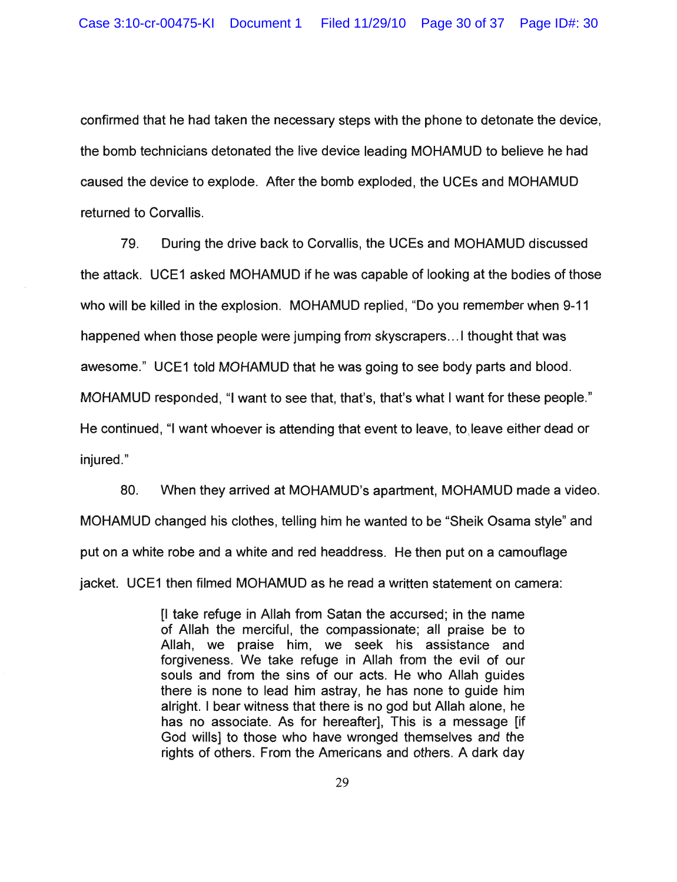confirmed that he had taken the necessary steps with the phone to detonate the device, the bomb technicians detonated the live device leading MOHAMUD to believe he had caused the device to explode. After the bomb exploded, the UCEs and MOHAMUD returned to Corvallis.

79. During the drive back to Corvallis, the UCEs and MOHAMUD discussed the attack. UCE1 asked MOHAMUD if he was capable of looking at the bodies of those who will be killed in the explosion. MOHAMUD replied, "Do you remember when 9-11 happened when those people were jumping from skyscrapers ... I thought that was awesome." UCE1 told MOHAMUD that he was going to see body parts and blood. MOHAMUD responded, "I want to see that, that's, that's what I want for these people." He continued, "I want whoever is attending that event to leave, to leave either dead or injured."

80. When they arrived at MOHAMUD's apartment, MOHAMUD made a video. MOHAMUD changed his clothes, telling him he wanted to be "Sheik Osama style" and put on a white robe and a white and red headdress. He then put on a camouflage jacket. UCE1 then filmed MOHAMUD as he read a written statement on camera:

> [I take refuge in Allah from Satan the accursed; in the name of Allah the merciful, the compassionate; all praise be to Allah, we praise him, we seek his assistance and forgiveness. We take refuge in Allah from the evil of our souls and from the sins of our acts. He who Allah guides there is none to lead him astray, he has none to guide him alright. I bear witness that there is no god but Allah alone, he has no associate. As for hereafter], This is a message [if God wills] to those who have wronged themselves and the rights of others. From the Americans and others. A dark day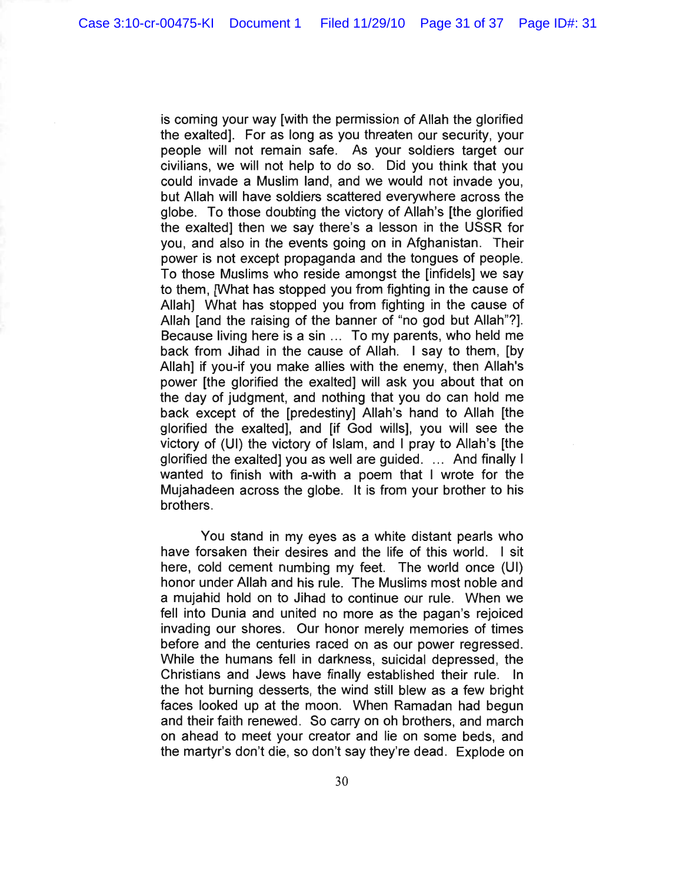is coming your way [with the permission of Allah the glorified the exalted]. For as long as you threaten our security, your people will not remain safe. As your soldiers target our civilians, we will not help to do so. Did you think that you could invade a Muslim land, and we would not invade you, but Allah will have soldiers scattered everywhere across the globe. To those doubting the victory of Allah's [the glorified the exalted] then we say there's a lesson in the USSR for you, and also in the events going on in Afghanistan. Their power is not except propaganda and the tongues of people. To those Muslims who reside amongst the [infidels] we say to them, [What has stopped you from fighting in the cause of Allah] What has stopped you from fighting in the cause of Allah [and the raising of the banner of "no god but Allah"?]. Because living here is a sin ... To my parents, who held me back from Jihad in the cause of Allah. I say to them, [by Allah] if you-if you make allies with the enemy, then Allah's power [the glorified the exalted] will ask you about that on the day of judgment, and nothing that you do can hold me back except of the [predestiny] Allah's hand to Allah [the glorified the exalted], and [if God wills], you will see the victory of (UI) the victory of Islam, and I pray to Allah's [the glorified the exalted] you as well are guided .... And finally I wanted to finish with a-with a poem that I wrote for the Mujahadeen across the globe. It is from your brother to his brothers.

You stand in my eyes as a white distant pearls who have forsaken their desires and the life of this world. I sit here, cold cement numbing my feet. The world once (UI) honor under Allah and his rule. The Muslims most noble and a mujahid hold on to Jihad to continue our rule. When we fell into Dunia and united no more as the pagan's rejoiced invading our shores. Our honor merely memories of times before and the centuries raced on as our power regressed. While the humans fell in darkness, suicidal depressed, the Christians and Jews have finally established their rule. In the hot burning desserts, the wind still blew as a few bright faces looked up at the moon. When Ramadan had begun and their faith renewed. So carry on oh brothers, and march on ahead to meet your creator and lie on some beds, and the martyr's don't die, so don't say they're dead. Explode on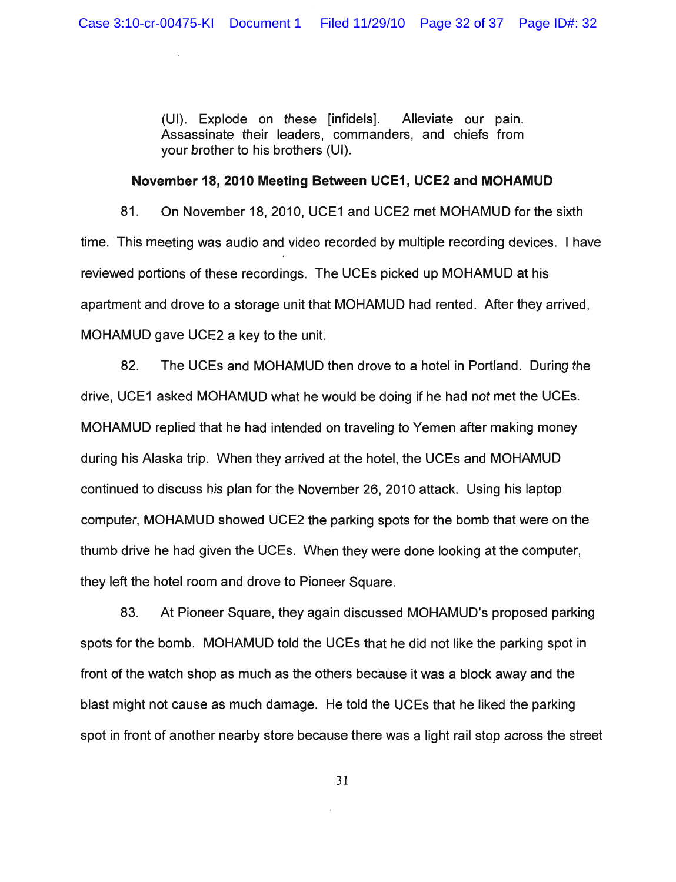(UI). Explode on these [infidels]. Alleviate our pain. Assassinate their leaders, commanders, and chiefs from your brother to his brothers (UI).

## **November** 18, **2010 Meeting Between UCE1, UCE2 and MOHAMUD**

81. On November 18, 2010, UCE1 and UCE2 met MOHAMUD for the sixth time. This meeting was audio and video recorded by multiple recording devices. I have reviewed portions of these recordings. The UCEs picked up MOHAMUD at his apartment and drove to a storage unit that MOHAMUD had rented. After they arrived, MOHAMUD gave UCE2 a key to the unit.

82. The UCEs and MOHAMUD then drove to a hotel in Portland. During the drive, UCE1 asked MOHAMUD what he would be doing if he had not met the UCEs. MOHAMUD replied that he had intended on traveling to Yemen after making money during his Alaska trip. When they arrived at the hotel, the UCEs and MOHAMUD continued to discuss his plan for the November 26, 2010 attack. Using his laptop computer, MOHAMUD showed UCE2 the parking spots for the bomb that were on the thumb drive he had given the UCEs. When they were done looking at the computer, they left the hotel room and drove to Pioneer Square.

83. At Pioneer Square, they again discussed MOHAMUD's proposed parking spots for the bomb. MOHAMUD told the UCEs that he did not like the parking spot in front of the watch shop as much as the others because it was a block away and the blast might not cause as much damage. He told the UCEs that he liked the parking spot in front of another nearby store because there was a light rail stop across the street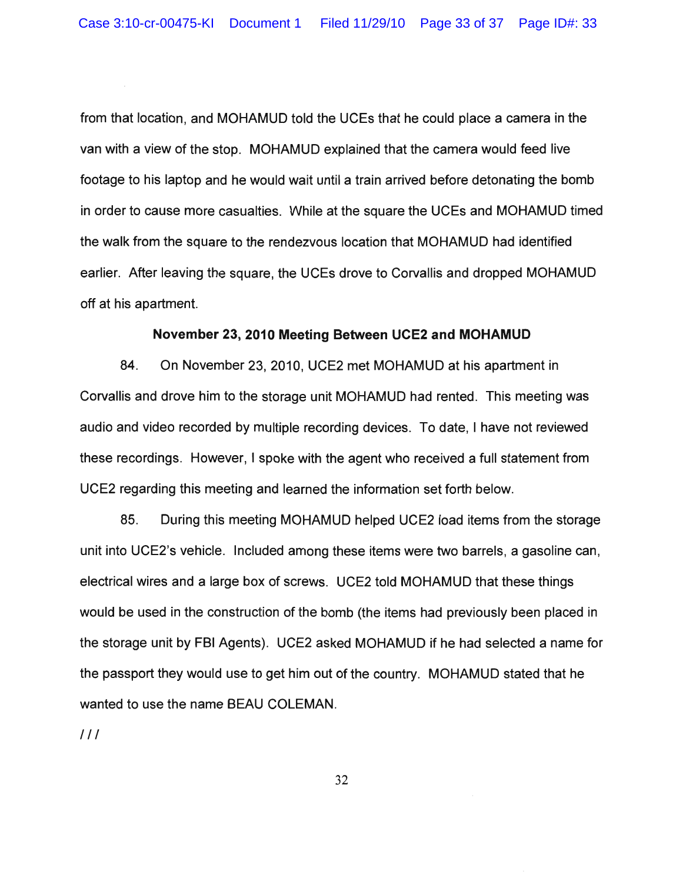from that location, and MOHAMUD told the UCEs that he could place a camera in the van with a view of the stop. MOHAMUD explained that the camera would feed live footage to his laptop and he would wait until a train arrived before detonating the bomb in order to cause more casualties. While at the square the UCEs and MOHAMUD timed the walk from the square to the rendezvous location that MOHAMUD had identified earlier. After leaving the square, the UCEs drove to Corvallis and dropped MOHAMUD off at his apartment.

## **November** 23, **2010 Meeting Between UCE2 and MOHAMUD**

84. On November 23,2010, UCE2 met MOHAMUD at his apartment in Corvallis and drove him to the storage unit MOHAMUD had rented. This meeting was audio and video recorded by multiple recording devices. To date, I have not reviewed these recordings. However, I spoke with the agent who received a full statement from UCE2 regarding this meeting and learned the information set forth below.

85. During this meeting MOHAMUD helped UCE2 load items from the storage unit into UCE2's vehicle. Included among these items were two barrels, a gasoline can, electrical wires and a large box of screws. UCE2 told MOHAMUD that these things would be used in the construction of the bomb (the items had previously been placed in the storage unit by FBI Agents). UCE2 asked MOHAMUD if he had selected a name for the passport they would use to get him out of the country. MOHAMUD stated that he wanted to use the name BEAU COLEMAN.

 $111$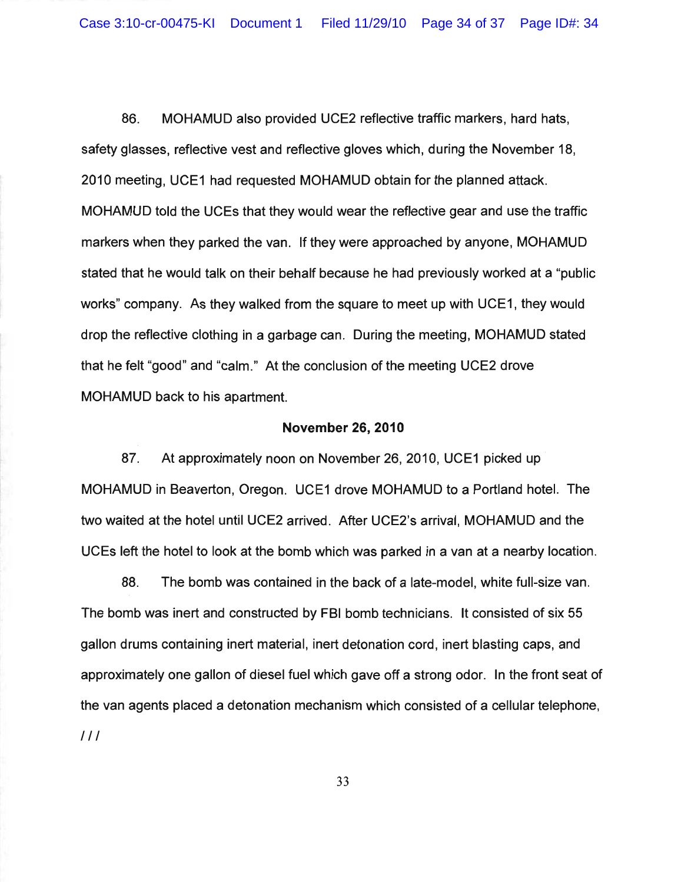Case 3:10-cr-00475-KI Document 1 Filed 11/29/10 Page 34 of 37 Page ID#: 34

86. MOHAMUD also provided UCE2 reflective traffic markers, hard hats, safety glasses, reflective vest and reflective gloves which, during the November 18, 2010 meeting, UCE1 had requested MOHAMUD obtain for the planned attack. MOHAMUD told the UCEs that they would wear the reflective gear and use the traffic markers when they parked the van. If they were approached by anyone, MOHAMUD stated that he would talk on their behalf because he had previously worked at a "public works" company. As they walked from the square to meet up with UCE1, they would drop the reflective clothing in a garbage can. During the meeting, MOHAMUD stated that he felt "good" and "calm." At the conclusion of the meeting UCE2 drove MOHAMUD back to his apartment.

### November 26,2010

87. At approximately noon on November 26, 2010, UCE1 picked up MOHAMUD in Beaverton, Oregon. UCE1 drove MOHAMUD to a Portland hotel. The two waited at the hotel until UCE2 arrived. After UCE2's arrival, MOHAMUD and the UCEs left the hotel to look at the bomb which was parked in a van at a nearby location.

88. The bomb was contained in the back of a late-model, white full-size van. The bomb was inert and constructed by FBI bomb technicians. It consisted of six 55 gallon drums containing inert material, inert detonation cord, inert blasting caps, and approximately one gallon of diesel fuel which gave off a strong odor. In the front seat of the van agents placed a detonation mechanism which consisted of a cellular telephone, III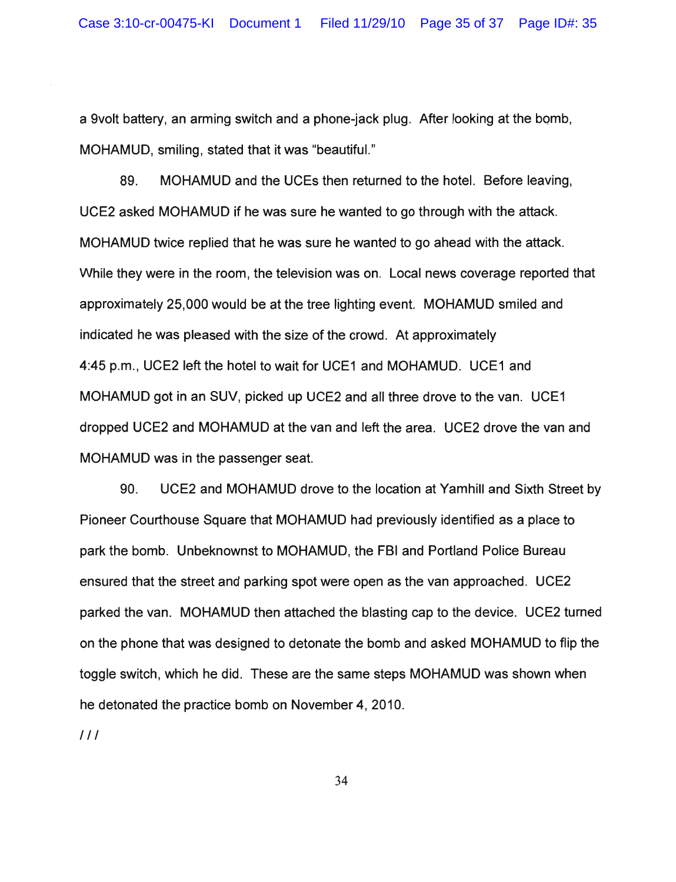a 9volt battery, an arming switch and a phone-jack plug. After looking at the bomb, MOHAMUD, smiling, stated that it was "beautifuL"

89. MOHAMUD and the UCEs then returned to the hotel. Before leaving, UCE2 asked MOHAMUD if he was sure he wanted to go through with the attack. MOHAMUD twice replied that he was sure he wanted to go ahead with the attack. While they were in the room, the television was on. Local news coverage reported that approximately 25,000 would be at the tree lighting event. MOHAMUD smiled and indicated he was pleased with the size of the crowd. At approximately 4:45 p.m., UCE2 left the hotel to wait for UCE1 and MOHAMUD. UCE1 and MOHAMUD got in an SUV, picked up UCE2 and all three drove to the van. UCE1 dropped UCE2 and MOHAMUD at the van and left the area. UCE2 drove the van and MOHAMUD was in the passenger seat.

90. UCE2 and MOHAMUD drove to the location at Yamhill and Sixth Street by Pioneer Courthouse Square that MOHAMUD had previously identified as a place to park the bomb. Unbeknownst to MOHAMUD, the FBI and Portland Police Bureau ensured that the street and parking spot were open as the van approached. UCE2 parked the van. MOHAMUD then attached the blasting cap to the device. UCE2 turned on the phone that was designed to detonate the bomb and asked MOHAMUD to flip the toggle switch, which he did. These are the same steps MOHAMUD was shown when he detonated the practice bomb on November 4,2010.

 $111$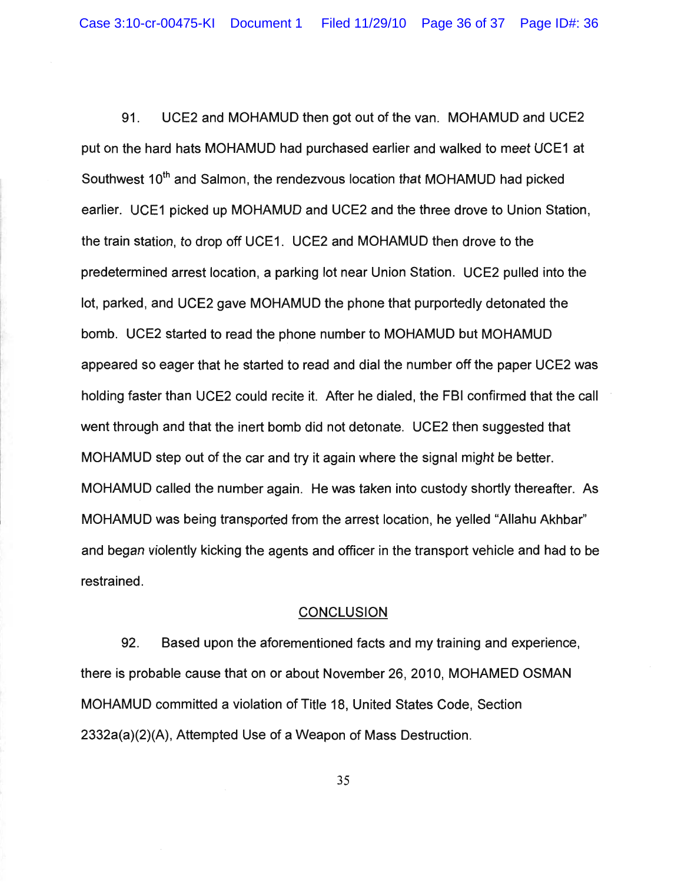91. UCE2 and MOHAMUD then got out of the van. MOHAMUD and UCE2 put on the hard hats MOHAMUD had purchased earlier and walked to meet UCE1 at Southwest 10<sup>th</sup> and Salmon, the rendezvous location that MOHAMUD had picked earlier. UCE1 picked up MOHAMUD and UCE2 and the three drove to Union Station, the train station, to drop off UCE1. UCE2 and MOHAMUD then drove to the predetermined arrest location, a parking lot near Union Station. UCE2 pulled into the lot, parked, and UCE2 gave MOHAMUD the phone that purportedly detonated the bomb. UCE2 started to read the phone number to MOHAMUD but MOHAMUD appeared so eager that he started to read and dial the number off the paper UCE2 was holding faster than UCE2 could recite it. After he dialed, the FBI confirmed that the call went through and that the inert bomb did not detonate. UCE2 then suggested that MOHAMUD step out of the car and try it again where the signal might be better. MOHAMUD called the number again. He was taken into custody shortly thereafter. As MOHAMUD was being transported from the arrest location, he yelled "Allahu Akhbar" and began violently kicking the agents and officer in the transport vehicle and had to be restrained.

## **CONCLUSION**

92. Based upon the aforementioned facts and my training and experience, there is probable cause that on or about November 26, 2010, MOHAMED OSMAN MOHAMUD committed a violation of Title 18, United States Code, Section 2332a(a)(2)(A), Attempted Use of a Weapon of Mass Destruction.